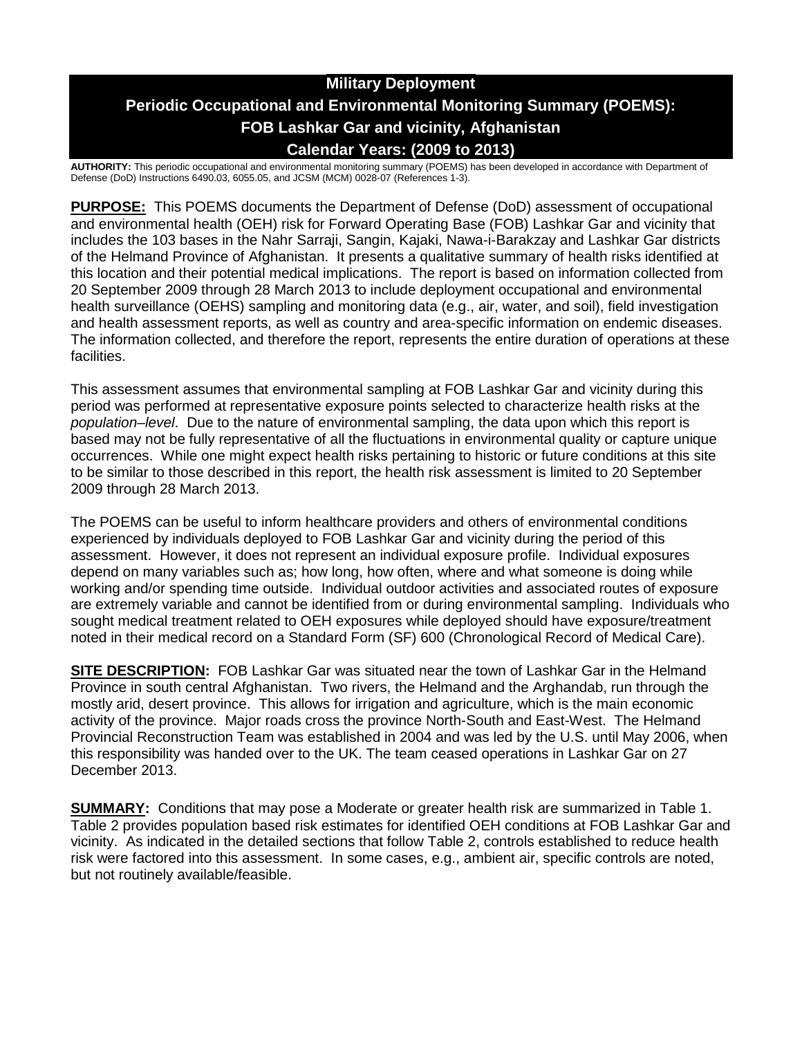# **Military Deployment Periodic Occupational and Environmental Monitoring Summary (POEMS): FOB Lashkar Gar and vicinity, Afghanistan Calendar Years: (2009 to 2013)**

**AUTHORITY:** This periodic occupational and environmental monitoring summary (POEMS) has been developed in accordance with Department of Defense (DoD) Instructions 6490.03, 6055.05, and JCSM (MCM) 0028-07 (References 1-3).

**PURPOSE:** This POEMS documents the Department of Defense (DoD) assessment of occupational and environmental health (OEH) risk for Forward Operating Base (FOB) Lashkar Gar and vicinity that includes the 103 bases in the Nahr Sarraji, Sangin, Kajaki, Nawa-i-Barakzay and Lashkar Gar districts of the Helmand Province of Afghanistan. It presents a qualitative summary of health risks identified at this location and their potential medical implications. The report is based on information collected from 20 September 2009 through 28 March 2013 to include deployment occupational and environmental health surveillance (OEHS) sampling and monitoring data (e.g., air, water, and soil), field investigation and health assessment reports, as well as country and area-specific information on endemic diseases. The information collected, and therefore the report, represents the entire duration of operations at these facilities.

This assessment assumes that environmental sampling at FOB Lashkar Gar and vicinity during this period was performed at representative exposure points selected to characterize health risks at the *population–level*. Due to the nature of environmental sampling, the data upon which this report is based may not be fully representative of all the fluctuations in environmental quality or capture unique occurrences. While one might expect health risks pertaining to historic or future conditions at this site to be similar to those described in this report, the health risk assessment is limited to 20 September 2009 through 28 March 2013.

The POEMS can be useful to inform healthcare providers and others of environmental conditions experienced by individuals deployed to FOB Lashkar Gar and vicinity during the period of this assessment. However, it does not represent an individual exposure profile. Individual exposures depend on many variables such as; how long, how often, where and what someone is doing while working and/or spending time outside. Individual outdoor activities and associated routes of exposure are extremely variable and cannot be identified from or during environmental sampling. Individuals who sought medical treatment related to OEH exposures while deployed should have exposure/treatment noted in their medical record on a Standard Form (SF) 600 (Chronological Record of Medical Care).

**SITE DESCRIPTION:** FOB Lashkar Gar was situated near the town of Lashkar Gar in the Helmand Province in south central Afghanistan. Two rivers, the Helmand and the Arghandab, run through the mostly arid, desert province. This allows for irrigation and agriculture, which is the main economic activity of the province. Major roads cross the province North-South and East-West. The Helmand Provincial Reconstruction Team was established in 2004 and was led by the U.S. until May 2006, when this responsibility was handed over to the UK. The team ceased operations in Lashkar Gar on 27 December 2013.

**SUMMARY:** Conditions that may pose a Moderate or greater health risk are summarized in Table 1. Table 2 provides population based risk estimates for identified OEH conditions at FOB Lashkar Gar and vicinity. As indicated in the detailed sections that follow Table 2, controls established to reduce health risk were factored into this assessment. In some cases, e.g., ambient air, specific controls are noted, but not routinely available/feasible.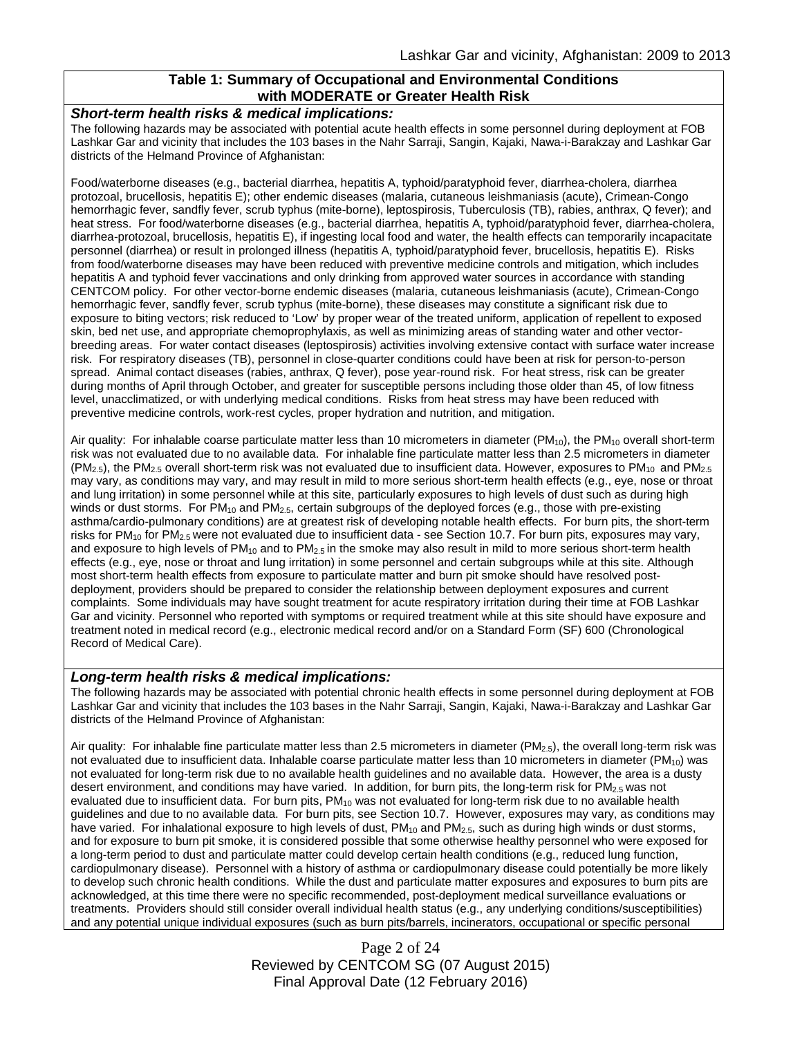### **Table 1: Summary of Occupational and Environmental Conditions with MODERATE or Greater Health Risk**

#### *Short-term health risks & medical implications:*

The following hazards may be associated with potential acute health effects in some personnel during deployment at FOB Lashkar Gar and vicinity that includes the 103 bases in the Nahr Sarraji, Sangin, Kajaki, Nawa-i-Barakzay and Lashkar Gar districts of the Helmand Province of Afghanistan:

Food/waterborne diseases (e.g., bacterial diarrhea, hepatitis A, typhoid/paratyphoid fever, diarrhea-cholera, diarrhea protozoal, brucellosis, hepatitis E); other endemic diseases (malaria, cutaneous leishmaniasis (acute), Crimean-Congo hemorrhagic fever, sandfly fever, scrub typhus (mite-borne), leptospirosis, Tuberculosis (TB), rabies, anthrax, Q fever); and heat stress. For food/waterborne diseases (e.g., bacterial diarrhea, hepatitis A, typhoid/paratyphoid fever, diarrhea-cholera, diarrhea-protozoal, brucellosis, hepatitis E), if ingesting local food and water, the health effects can temporarily incapacitate personnel (diarrhea) or result in prolonged illness (hepatitis A, typhoid/paratyphoid fever, brucellosis, hepatitis E). Risks from food/waterborne diseases may have been reduced with preventive medicine controls and mitigation, which includes hepatitis A and typhoid fever vaccinations and only drinking from approved water sources in accordance with standing CENTCOM policy. For other vector-borne endemic diseases (malaria, cutaneous leishmaniasis (acute), Crimean-Congo hemorrhagic fever, sandfly fever, scrub typhus (mite-borne), these diseases may constitute a significant risk due to exposure to biting vectors; risk reduced to 'Low' by proper wear of the treated uniform, application of repellent to exposed skin, bed net use, and appropriate chemoprophylaxis, as well as minimizing areas of standing water and other vectorbreeding areas. For water contact diseases (leptospirosis) activities involving extensive contact with surface water increase risk. For respiratory diseases (TB), personnel in close-quarter conditions could have been at risk for person-to-person spread. Animal contact diseases (rabies, anthrax, Q fever), pose year-round risk. For heat stress, risk can be greater during months of April through October, and greater for susceptible persons including those older than 45, of low fitness level, unacclimatized, or with underlying medical conditions. Risks from heat stress may have been reduced with preventive medicine controls, work-rest cycles, proper hydration and nutrition, and mitigation.

Air quality: For inhalable coarse particulate matter less than 10 micrometers in diameter (PM<sub>10</sub>), the PM<sub>10</sub> overall short-term risk was not evaluated due to no available data. For inhalable fine particulate matter less than 2.5 micrometers in diameter  $(PM<sub>2.5</sub>)$ , the PM<sub>2.5</sub> overall short-term risk was not evaluated due to insufficient data. However, exposures to PM<sub>10</sub> and PM<sub>2.5</sub> may vary, as conditions may vary, and may result in mild to more serious short-term health effects (e.g., eye, nose or throat and lung irritation) in some personnel while at this site, particularly exposures to high levels of dust such as during high winds or dust storms. For  $PM_{10}$  and  $PM_{2.5}$ , certain subgroups of the deployed forces (e.g., those with pre-existing asthma/cardio-pulmonary conditions) are at greatest risk of developing notable health effects. For burn pits, the short-term risks for  $PM_{10}$  for  $PM_{2.5}$  were not evaluated due to insufficient data - see Section 10.7. For burn pits, exposures may vary, and exposure to high levels of  $PM_{10}$  and to  $PM_{2.5}$  in the smoke may also result in mild to more serious short-term health effects (e.g., eye, nose or throat and lung irritation) in some personnel and certain subgroups while at this site. Although most short-term health effects from exposure to particulate matter and burn pit smoke should have resolved postdeployment, providers should be prepared to consider the relationship between deployment exposures and current complaints. Some individuals may have sought treatment for acute respiratory irritation during their time at FOB Lashkar Gar and vicinity. Personnel who reported with symptoms or required treatment while at this site should have exposure and treatment noted in medical record (e.g., electronic medical record and/or on a Standard Form (SF) 600 (Chronological Record of Medical Care).

#### *Long-term health risks & medical implications:*

The following hazards may be associated with potential chronic health effects in some personnel during deployment at FOB Lashkar Gar and vicinity that includes the 103 bases in the Nahr Sarraji, Sangin, Kajaki, Nawa-i-Barakzay and Lashkar Gar districts of the Helmand Province of Afghanistan:

Air quality: For inhalable fine particulate matter less than 2.5 micrometers in diameter (PM<sub>2.5</sub>), the overall long-term risk was not evaluated due to insufficient data. Inhalable coarse particulate matter less than 10 micrometers in diameter  $(PM_{10})$  was not evaluated for long-term risk due to no available health guidelines and no available data. However, the area is a dusty desert environment, and conditions may have varied. In addition, for burn pits, the long-term risk for PM<sub>2.5</sub> was not evaluated due to insufficient data. For burn pits,  $PM_{10}$  was not evaluated for long-term risk due to no available health guidelines and due to no available data. For burn pits, see Section 10.7. However, exposures may vary, as conditions may have varied. For inhalational exposure to high levels of dust,  $PM_{10}$  and  $PM_{2.5}$ , such as during high winds or dust storms, and for exposure to burn pit smoke, it is considered possible that some otherwise healthy personnel who were exposed for a long-term period to dust and particulate matter could develop certain health conditions (e.g., reduced lung function, cardiopulmonary disease). Personnel with a history of asthma or cardiopulmonary disease could potentially be more likely to develop such chronic health conditions. While the dust and particulate matter exposures and exposures to burn pits are acknowledged, at this time there were no specific recommended, post-deployment medical surveillance evaluations or treatments. Providers should still consider overall individual health status (e.g., any underlying conditions/susceptibilities) and any potential unique individual exposures (such as burn pits/barrels, incinerators, occupational or specific personal

> Page 2 of 24 Reviewed by CENTCOM SG (07 August 2015) Final Approval Date (12 February 2016)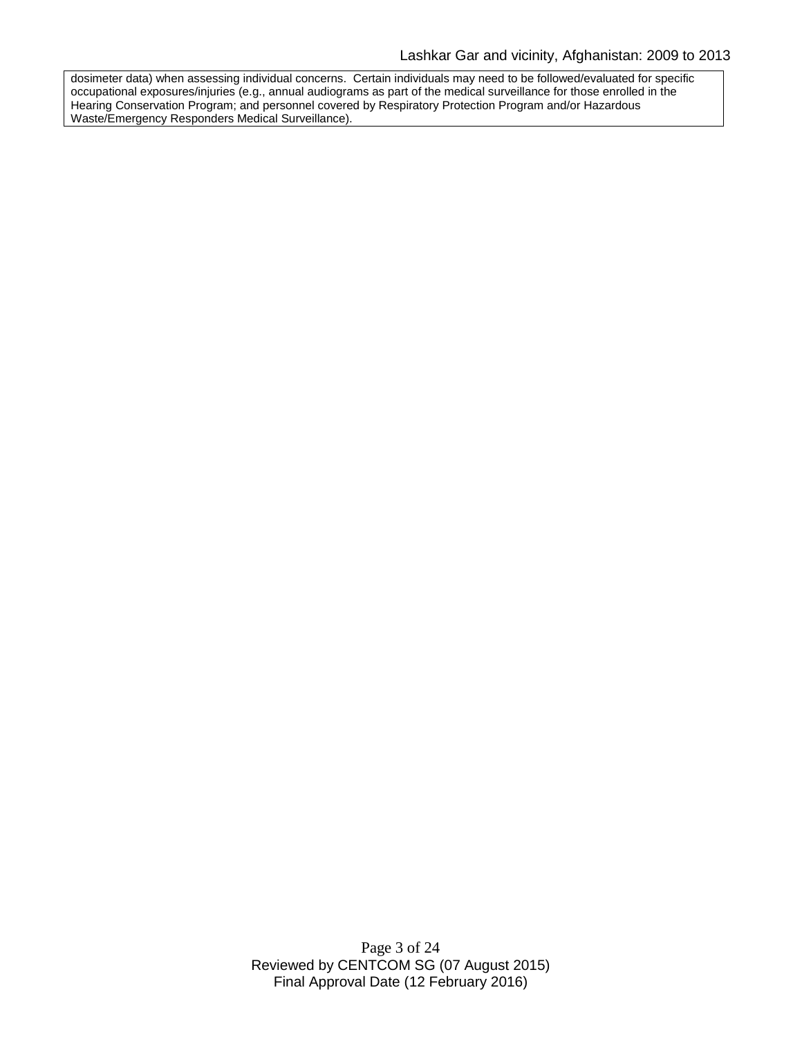dosimeter data) when assessing individual concerns. Certain individuals may need to be followed/evaluated for specific occupational exposures/injuries (e.g., annual audiograms as part of the medical surveillance for those enrolled in the Hearing Conservation Program; and personnel covered by Respiratory Protection Program and/or Hazardous Waste/Emergency Responders Medical Surveillance).

> Page 3 of 24 Reviewed by CENTCOM SG (07 August 2015) Final Approval Date (12 February 2016)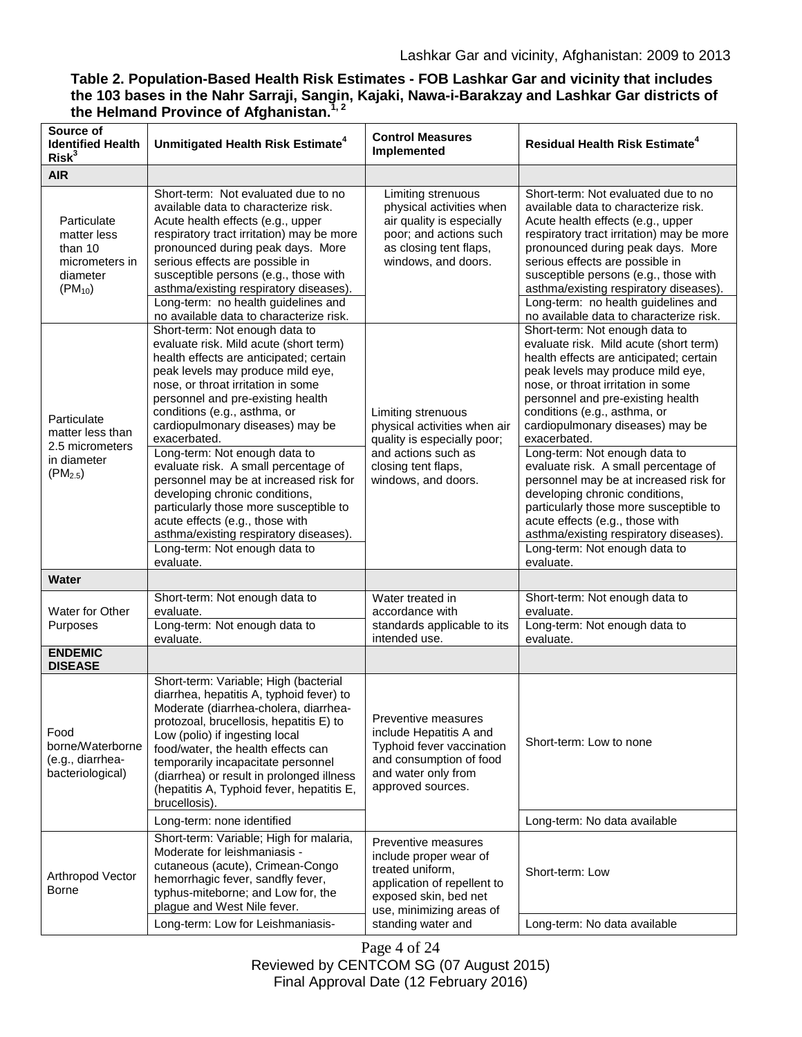### **Table 2. Population-Based Health Risk Estimates - FOB Lashkar Gar and vicinity that includes the 103 bases in the Nahr Sarraji, Sangin, Kajaki, Nawa-i-Barakzay and Lashkar Gar districts of the Helmand Province of Afghanistan.1, 2**

| Source of<br><b>Identified Health</b><br>Risk <sup>3</sup>                                        | Unmitigated Health Risk Estimate <sup>4</sup>                                                                                                                                                                                                                                                                                                                                                                                                                                                                                                                                                                                                     | <b>Control Measures</b><br>Implemented                                                                                                                 | <b>Residual Health Risk Estimate<sup>4</sup></b>                                                                                                                                                                                                                                                                                                                                                                                                                                                                                                                                                                                                  |
|---------------------------------------------------------------------------------------------------|---------------------------------------------------------------------------------------------------------------------------------------------------------------------------------------------------------------------------------------------------------------------------------------------------------------------------------------------------------------------------------------------------------------------------------------------------------------------------------------------------------------------------------------------------------------------------------------------------------------------------------------------------|--------------------------------------------------------------------------------------------------------------------------------------------------------|---------------------------------------------------------------------------------------------------------------------------------------------------------------------------------------------------------------------------------------------------------------------------------------------------------------------------------------------------------------------------------------------------------------------------------------------------------------------------------------------------------------------------------------------------------------------------------------------------------------------------------------------------|
| <b>AIR</b>                                                                                        |                                                                                                                                                                                                                                                                                                                                                                                                                                                                                                                                                                                                                                                   |                                                                                                                                                        |                                                                                                                                                                                                                                                                                                                                                                                                                                                                                                                                                                                                                                                   |
| Particulate<br>matter less<br>than 10<br>micrometers in<br>diameter<br>$(PM_{10})$                | Short-term: Not evaluated due to no<br>available data to characterize risk.<br>Acute health effects (e.g., upper<br>respiratory tract irritation) may be more<br>pronounced during peak days. More<br>serious effects are possible in<br>susceptible persons (e.g., those with<br>asthma/existing respiratory diseases).<br>Long-term: no health guidelines and<br>no available data to characterize risk.                                                                                                                                                                                                                                        | Limiting strenuous<br>physical activities when<br>air quality is especially<br>poor; and actions such<br>as closing tent flaps,<br>windows, and doors. | Short-term: Not evaluated due to no<br>available data to characterize risk.<br>Acute health effects (e.g., upper<br>respiratory tract irritation) may be more<br>pronounced during peak days. More<br>serious effects are possible in<br>susceptible persons (e.g., those with<br>asthma/existing respiratory diseases).<br>Long-term: no health guidelines and<br>no available data to characterize risk.                                                                                                                                                                                                                                        |
| Particulate<br>matter less than<br>2.5 micrometers<br>in diameter<br>$(PM_{2.5})$<br><b>Water</b> | Short-term: Not enough data to<br>evaluate risk. Mild acute (short term)<br>health effects are anticipated; certain<br>peak levels may produce mild eye,<br>nose, or throat irritation in some<br>personnel and pre-existing health<br>conditions (e.g., asthma, or<br>cardiopulmonary diseases) may be<br>exacerbated.<br>Long-term: Not enough data to<br>evaluate risk. A small percentage of<br>personnel may be at increased risk for<br>developing chronic conditions,<br>particularly those more susceptible to<br>acute effects (e.g., those with<br>asthma/existing respiratory diseases).<br>Long-term: Not enough data to<br>evaluate. | Limiting strenuous<br>physical activities when air<br>quality is especially poor;<br>and actions such as<br>closing tent flaps,<br>windows, and doors. | Short-term: Not enough data to<br>evaluate risk. Mild acute (short term)<br>health effects are anticipated; certain<br>peak levels may produce mild eye,<br>nose, or throat irritation in some<br>personnel and pre-existing health<br>conditions (e.g., asthma, or<br>cardiopulmonary diseases) may be<br>exacerbated.<br>Long-term: Not enough data to<br>evaluate risk. A small percentage of<br>personnel may be at increased risk for<br>developing chronic conditions,<br>particularly those more susceptible to<br>acute effects (e.g., those with<br>asthma/existing respiratory diseases).<br>Long-term: Not enough data to<br>evaluate. |
|                                                                                                   | Short-term: Not enough data to                                                                                                                                                                                                                                                                                                                                                                                                                                                                                                                                                                                                                    | Water treated in                                                                                                                                       | Short-term: Not enough data to                                                                                                                                                                                                                                                                                                                                                                                                                                                                                                                                                                                                                    |
| Water for Other<br>Purposes                                                                       | evaluate.<br>Long-term: Not enough data to<br>evaluate.                                                                                                                                                                                                                                                                                                                                                                                                                                                                                                                                                                                           | accordance with<br>standards applicable to its<br>intended use.                                                                                        | evaluate.<br>Long-term: Not enough data to<br>evaluate.                                                                                                                                                                                                                                                                                                                                                                                                                                                                                                                                                                                           |
| <b>ENDEMIC</b>                                                                                    |                                                                                                                                                                                                                                                                                                                                                                                                                                                                                                                                                                                                                                                   |                                                                                                                                                        |                                                                                                                                                                                                                                                                                                                                                                                                                                                                                                                                                                                                                                                   |
| <b>DISEASE</b><br>Food<br>borne/Waterborne<br>(e.g., diarrhea-<br>bacteriological)                | Short-term: Variable; High (bacterial<br>diarrhea, hepatitis A, typhoid fever) to<br>Moderate (diarrhea-cholera, diarrhea-<br>protozoal, brucellosis, hepatitis E) to<br>Low (polio) if ingesting local<br>food/water, the health effects can<br>temporarily incapacitate personnel<br>(diarrhea) or result in prolonged illness<br>(hepatitis A, Typhoid fever, hepatitis E,<br>brucellosis).                                                                                                                                                                                                                                                    | Preventive measures<br>include Hepatitis A and<br>Typhoid fever vaccination<br>and consumption of food<br>and water only from<br>approved sources.     | Short-term: Low to none                                                                                                                                                                                                                                                                                                                                                                                                                                                                                                                                                                                                                           |
|                                                                                                   | Long-term: none identified                                                                                                                                                                                                                                                                                                                                                                                                                                                                                                                                                                                                                        |                                                                                                                                                        | Long-term: No data available                                                                                                                                                                                                                                                                                                                                                                                                                                                                                                                                                                                                                      |
| Arthropod Vector<br>Borne                                                                         | Short-term: Variable; High for malaria,<br>Moderate for leishmaniasis -<br>cutaneous (acute), Crimean-Congo<br>hemorrhagic fever, sandfly fever,<br>typhus-miteborne; and Low for, the<br>plague and West Nile fever.                                                                                                                                                                                                                                                                                                                                                                                                                             | Preventive measures<br>include proper wear of<br>treated uniform,<br>application of repellent to<br>exposed skin, bed net<br>use, minimizing areas of  | Short-term: Low                                                                                                                                                                                                                                                                                                                                                                                                                                                                                                                                                                                                                                   |
|                                                                                                   | Long-term: Low for Leishmaniasis-                                                                                                                                                                                                                                                                                                                                                                                                                                                                                                                                                                                                                 | standing water and                                                                                                                                     | Long-term: No data available                                                                                                                                                                                                                                                                                                                                                                                                                                                                                                                                                                                                                      |

Page 4 of 24

Reviewed by CENTCOM SG (07 August 2015)

Final Approval Date (12 February 2016)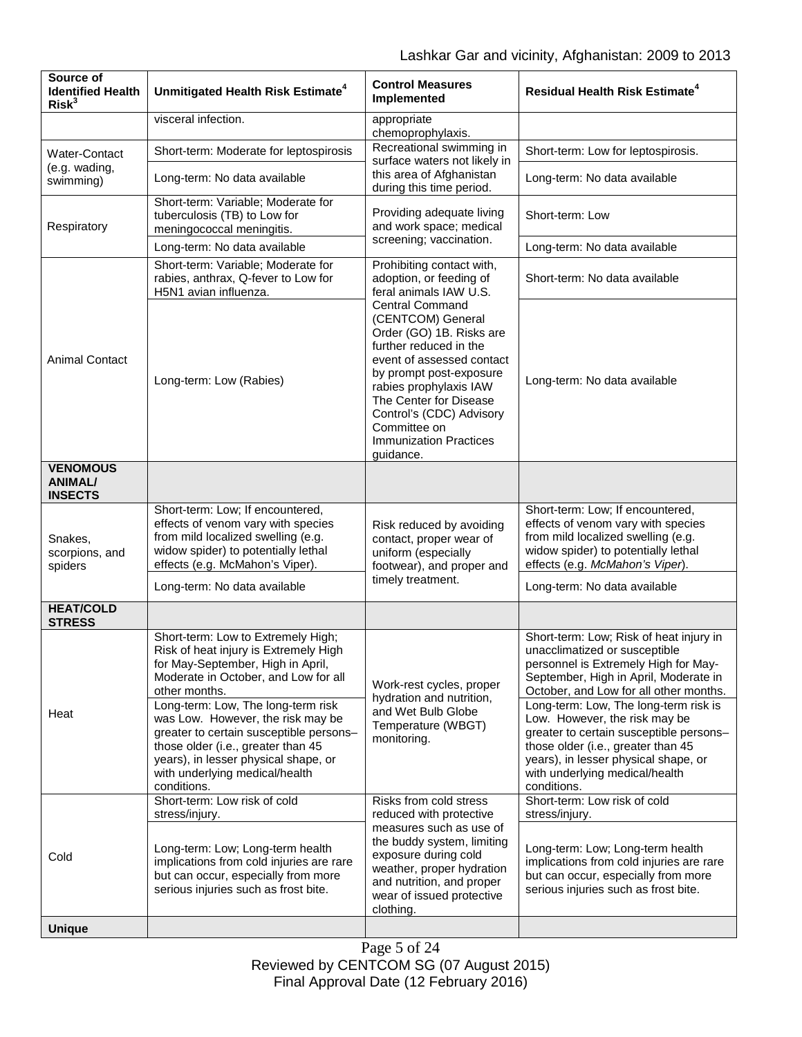| Source of<br><b>Identified Health</b><br>Risk <sup>3</sup> | Unmitigated Health Risk Estimate <sup>4</sup>                                                                                                                                                                                                                                                                                                                                                                   | <b>Control Measures</b><br>Implemented                                                                                                                                                                                                 | <b>Residual Health Risk Estimate<sup>4</sup></b>                                                                                                                                                                                                                                                                                                                                                                                         |
|------------------------------------------------------------|-----------------------------------------------------------------------------------------------------------------------------------------------------------------------------------------------------------------------------------------------------------------------------------------------------------------------------------------------------------------------------------------------------------------|----------------------------------------------------------------------------------------------------------------------------------------------------------------------------------------------------------------------------------------|------------------------------------------------------------------------------------------------------------------------------------------------------------------------------------------------------------------------------------------------------------------------------------------------------------------------------------------------------------------------------------------------------------------------------------------|
|                                                            | visceral infection.                                                                                                                                                                                                                                                                                                                                                                                             | appropriate<br>chemoprophylaxis.                                                                                                                                                                                                       |                                                                                                                                                                                                                                                                                                                                                                                                                                          |
| Water-Contact                                              | Short-term: Moderate for leptospirosis                                                                                                                                                                                                                                                                                                                                                                          | Recreational swimming in                                                                                                                                                                                                               | Short-term: Low for leptospirosis.                                                                                                                                                                                                                                                                                                                                                                                                       |
| (e.g. wading,<br>swimming)                                 | Long-term: No data available                                                                                                                                                                                                                                                                                                                                                                                    | surface waters not likely in<br>this area of Afghanistan<br>during this time period.                                                                                                                                                   | Long-term: No data available                                                                                                                                                                                                                                                                                                                                                                                                             |
| Respiratory                                                | Short-term: Variable; Moderate for<br>tuberculosis (TB) to Low for<br>meningococcal meningitis.                                                                                                                                                                                                                                                                                                                 | Providing adequate living<br>and work space; medical<br>screening; vaccination.                                                                                                                                                        | Short-term: Low                                                                                                                                                                                                                                                                                                                                                                                                                          |
|                                                            | Long-term: No data available                                                                                                                                                                                                                                                                                                                                                                                    |                                                                                                                                                                                                                                        | Long-term: No data available                                                                                                                                                                                                                                                                                                                                                                                                             |
| Animal Contact                                             | Short-term: Variable; Moderate for<br>rabies, anthrax, Q-fever to Low for<br>H5N1 avian influenza.                                                                                                                                                                                                                                                                                                              | Prohibiting contact with,<br>adoption, or feeding of<br>feral animals IAW U.S.                                                                                                                                                         | Short-term: No data available                                                                                                                                                                                                                                                                                                                                                                                                            |
|                                                            |                                                                                                                                                                                                                                                                                                                                                                                                                 | <b>Central Command</b><br>(CENTCOM) General<br>Order (GO) 1B. Risks are<br>further reduced in the<br>event of assessed contact                                                                                                         |                                                                                                                                                                                                                                                                                                                                                                                                                                          |
|                                                            | Long-term: Low (Rabies)                                                                                                                                                                                                                                                                                                                                                                                         | by prompt post-exposure<br>rabies prophylaxis IAW<br>The Center for Disease<br>Control's (CDC) Advisory<br>Committee on<br><b>Immunization Practices</b><br>guidance.                                                                  | Long-term: No data available                                                                                                                                                                                                                                                                                                                                                                                                             |
| <b>VENOMOUS</b><br><b>ANIMAL/</b><br><b>INSECTS</b>        |                                                                                                                                                                                                                                                                                                                                                                                                                 |                                                                                                                                                                                                                                        |                                                                                                                                                                                                                                                                                                                                                                                                                                          |
| Snakes,<br>scorpions, and<br>spiders                       | Short-term: Low; If encountered,<br>effects of venom vary with species<br>from mild localized swelling (e.g.<br>widow spider) to potentially lethal<br>effects (e.g. McMahon's Viper).                                                                                                                                                                                                                          | Risk reduced by avoiding<br>contact, proper wear of<br>uniform (especially<br>footwear), and proper and<br>timely treatment.                                                                                                           | Short-term: Low; If encountered,<br>effects of venom vary with species<br>from mild localized swelling (e.g.<br>widow spider) to potentially lethal<br>effects (e.g. McMahon's Viper).                                                                                                                                                                                                                                                   |
|                                                            | Long-term: No data available                                                                                                                                                                                                                                                                                                                                                                                    |                                                                                                                                                                                                                                        | Long-term: No data available                                                                                                                                                                                                                                                                                                                                                                                                             |
| <b>HEAT/COLD</b><br><b>STRESS</b>                          |                                                                                                                                                                                                                                                                                                                                                                                                                 |                                                                                                                                                                                                                                        |                                                                                                                                                                                                                                                                                                                                                                                                                                          |
| Heat                                                       | Short-term: Low to Extremely High;<br>Risk of heat injury is Extremely High<br>for May-September, High in April,<br>Moderate in October, and Low for all<br>other months.<br>Long-term: Low, The long-term risk<br>was Low. However, the risk may be<br>greater to certain susceptible persons-<br>those older (i.e., greater than 45<br>years), in lesser physical shape, or<br>with underlying medical/health | Work-rest cycles, proper<br>hydration and nutrition,<br>and Wet Bulb Globe<br>Temperature (WBGT)<br>monitoring.                                                                                                                        | Short-term: Low; Risk of heat injury in<br>unacclimatized or susceptible<br>personnel is Extremely High for May-<br>September, High in April, Moderate in<br>October, and Low for all other months.<br>Long-term: Low, The long-term risk is<br>Low. However, the risk may be<br>greater to certain susceptible persons-<br>those older (i.e., greater than 45<br>years), in lesser physical shape, or<br>with underlying medical/health |
| Cold                                                       | conditions.<br>Short-term: Low risk of cold<br>stress/injury.                                                                                                                                                                                                                                                                                                                                                   | Risks from cold stress<br>reduced with protective<br>measures such as use of<br>the buddy system, limiting<br>exposure during cold<br>weather, proper hydration<br>and nutrition, and proper<br>wear of issued protective<br>clothing. | conditions.<br>Short-term: Low risk of cold<br>stress/injury.                                                                                                                                                                                                                                                                                                                                                                            |
|                                                            | Long-term: Low; Long-term health<br>implications from cold injuries are rare<br>but can occur, especially from more<br>serious injuries such as frost bite.                                                                                                                                                                                                                                                     |                                                                                                                                                                                                                                        | Long-term: Low; Long-term health<br>implications from cold injuries are rare<br>but can occur, especially from more<br>serious injuries such as frost bite.                                                                                                                                                                                                                                                                              |
| <b>Unique</b>                                              |                                                                                                                                                                                                                                                                                                                                                                                                                 |                                                                                                                                                                                                                                        |                                                                                                                                                                                                                                                                                                                                                                                                                                          |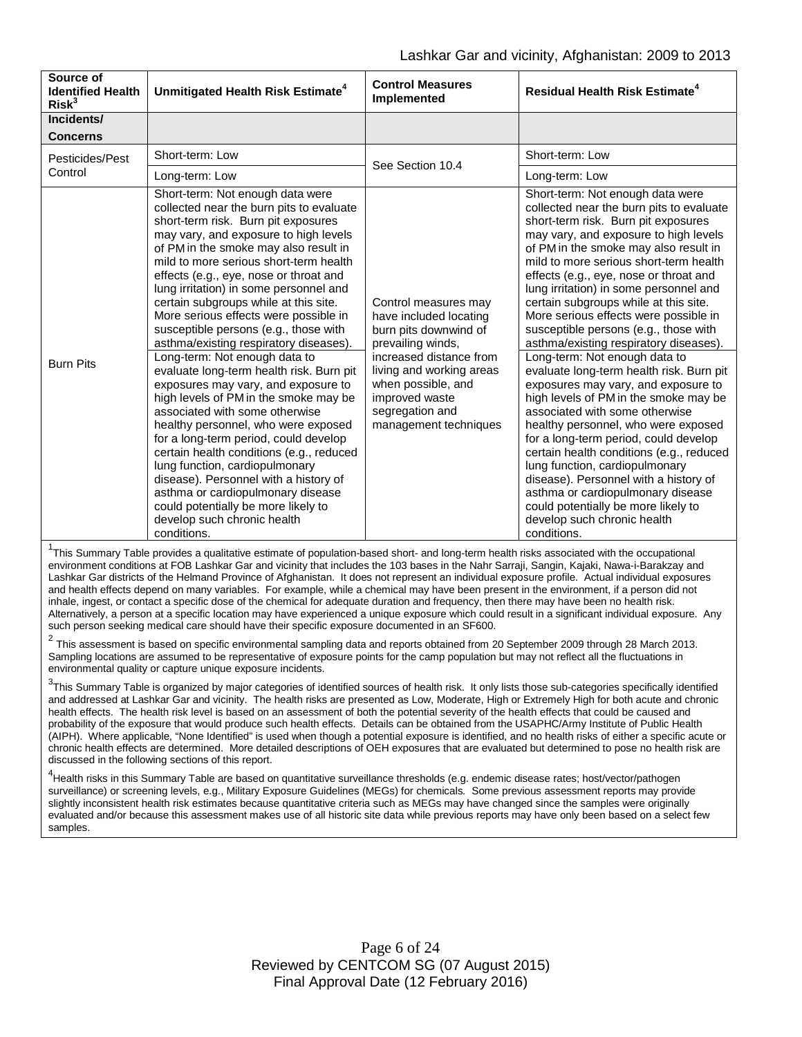| Incidents/<br><b>Concerns</b><br>Short-term: Low<br>Short-term: Low<br>Pesticides/Pest<br>See Section 10.4<br>Control<br>Long-term: Low<br>Long-term: Low<br>Short-term: Not enough data were<br>collected near the burn pits to evaluate<br>short-term risk. Burn pit exposures<br>may vary, and exposure to high levels<br>of PM in the smoke may also result in<br>mild to more serious short-term health<br>effects (e.g., eye, nose or throat and<br>lung irritation) in some personnel and<br>certain subgroups while at this site.<br>Control measures may<br>More serious effects were possible in<br>have included locating<br>susceptible persons (e.g., those with<br>burn pits downwind of<br>asthma/existing respiratory diseases).<br>prevailing winds,<br>increased distance from<br>Long-term: Not enough data to<br>Long-term: Not enough data to<br><b>Burn Pits</b><br>evaluate long-term health risk. Burn pit<br>living and working areas<br>exposures may vary, and exposure to<br>when possible, and<br>high levels of PM in the smoke may be<br>improved waste | Source of<br><b>Identified Health</b><br>Risk <sup>3</sup> | Unmitigated Health Risk Estimate <sup>4</sup> | <b>Control Measures</b><br>Implemented | <b>Residual Health Risk Estimate<sup>4</sup></b>                                                                                                                                                                                                                                                                                                                                                                                                                                                                                                                                                                                                                                                                                                                                                                                                                                      |
|----------------------------------------------------------------------------------------------------------------------------------------------------------------------------------------------------------------------------------------------------------------------------------------------------------------------------------------------------------------------------------------------------------------------------------------------------------------------------------------------------------------------------------------------------------------------------------------------------------------------------------------------------------------------------------------------------------------------------------------------------------------------------------------------------------------------------------------------------------------------------------------------------------------------------------------------------------------------------------------------------------------------------------------------------------------------------------------|------------------------------------------------------------|-----------------------------------------------|----------------------------------------|---------------------------------------------------------------------------------------------------------------------------------------------------------------------------------------------------------------------------------------------------------------------------------------------------------------------------------------------------------------------------------------------------------------------------------------------------------------------------------------------------------------------------------------------------------------------------------------------------------------------------------------------------------------------------------------------------------------------------------------------------------------------------------------------------------------------------------------------------------------------------------------|
|                                                                                                                                                                                                                                                                                                                                                                                                                                                                                                                                                                                                                                                                                                                                                                                                                                                                                                                                                                                                                                                                                        |                                                            |                                               |                                        |                                                                                                                                                                                                                                                                                                                                                                                                                                                                                                                                                                                                                                                                                                                                                                                                                                                                                       |
|                                                                                                                                                                                                                                                                                                                                                                                                                                                                                                                                                                                                                                                                                                                                                                                                                                                                                                                                                                                                                                                                                        |                                                            |                                               |                                        |                                                                                                                                                                                                                                                                                                                                                                                                                                                                                                                                                                                                                                                                                                                                                                                                                                                                                       |
|                                                                                                                                                                                                                                                                                                                                                                                                                                                                                                                                                                                                                                                                                                                                                                                                                                                                                                                                                                                                                                                                                        |                                                            |                                               |                                        |                                                                                                                                                                                                                                                                                                                                                                                                                                                                                                                                                                                                                                                                                                                                                                                                                                                                                       |
|                                                                                                                                                                                                                                                                                                                                                                                                                                                                                                                                                                                                                                                                                                                                                                                                                                                                                                                                                                                                                                                                                        |                                                            |                                               |                                        |                                                                                                                                                                                                                                                                                                                                                                                                                                                                                                                                                                                                                                                                                                                                                                                                                                                                                       |
| associated with some otherwise<br>associated with some otherwise<br>management techniques<br>healthy personnel, who were exposed<br>for a long-term period, could develop<br>certain health conditions (e.g., reduced<br>lung function, cardiopulmonary<br>lung function, cardiopulmonary<br>disease). Personnel with a history of<br>asthma or cardiopulmonary disease<br>could potentially be more likely to<br>develop such chronic health<br>develop such chronic health                                                                                                                                                                                                                                                                                                                                                                                                                                                                                                                                                                                                           |                                                            |                                               | segregation and                        | Short-term: Not enough data were<br>collected near the burn pits to evaluate<br>short-term risk. Burn pit exposures<br>may vary, and exposure to high levels<br>of PM in the smoke may also result in<br>mild to more serious short-term health<br>effects (e.g., eye, nose or throat and<br>lung irritation) in some personnel and<br>certain subgroups while at this site.<br>More serious effects were possible in<br>susceptible persons (e.g., those with<br>asthma/existing respiratory diseases).<br>evaluate long-term health risk. Burn pit<br>exposures may vary, and exposure to<br>high levels of PM in the smoke may be<br>healthy personnel, who were exposed<br>for a long-term period, could develop<br>certain health conditions (e.g., reduced<br>disease). Personnel with a history of<br>asthma or cardiopulmonary disease<br>could potentially be more likely to |

<sup>1</sup>This Summary Table provides a qualitative estimate of population-based short- and long-term health risks associated with the occupational environment conditions at FOB Lashkar Gar and vicinity that includes the 103 bases in the Nahr Sarraji, Sangin, Kajaki, Nawa-i-Barakzay and Lashkar Gar districts of the Helmand Province of Afghanistan. It does not represent an individual exposure profile. Actual individual exposures and health effects depend on many variables. For example, while a chemical may have been present in the environment, if a person did not inhale, ingest, or contact a specific dose of the chemical for adequate duration and frequency, then there may have been no health risk. Alternatively, a person at a specific location may have experienced a unique exposure which could result in a significant individual exposure. Any such person seeking medical care should have their specific exposure documented in an SF600.

<sup>2</sup> This assessment is based on specific environmental sampling data and reports obtained from 20 September 2009 through 28 March 2013. Sampling locations are assumed to be representative of exposure points for the camp population but may not reflect all the fluctuations in environmental quality or capture unique exposure incidents.

 $^3$ This Summary Table is organized by major categories of identified sources of health risk. It only lists those sub-categories specifically identified and addressed at Lashkar Gar and vicinity. The health risks are presented as Low, Moderate, High or Extremely High for both acute and chronic health effects. The health risk level is based on an assessment of both the potential severity of the health effects that could be caused and probability of the exposure that would produce such health effects. Details can be obtained from the USAPHC/Army Institute of Public Health (AIPH). Where applicable, "None Identified" is used when though a potential exposure is identified, and no health risks of either a specific acute or chronic health effects are determined. More detailed descriptions of OEH exposures that are evaluated but determined to pose no health risk are discussed in the following sections of this report.

<sup>4</sup><br>Health risks in this Summary Table are based on quantitative surveillance thresholds (e.g. endemic disease rates; host/vector/pathogen surveillance) or screening levels, e.g., Military Exposure Guidelines (MEGs) for chemicals*.* Some previous assessment reports may provide slightly inconsistent health risk estimates because quantitative criteria such as MEGs may have changed since the samples were originally evaluated and/or because this assessment makes use of all historic site data while previous reports may have only been based on a select few samples.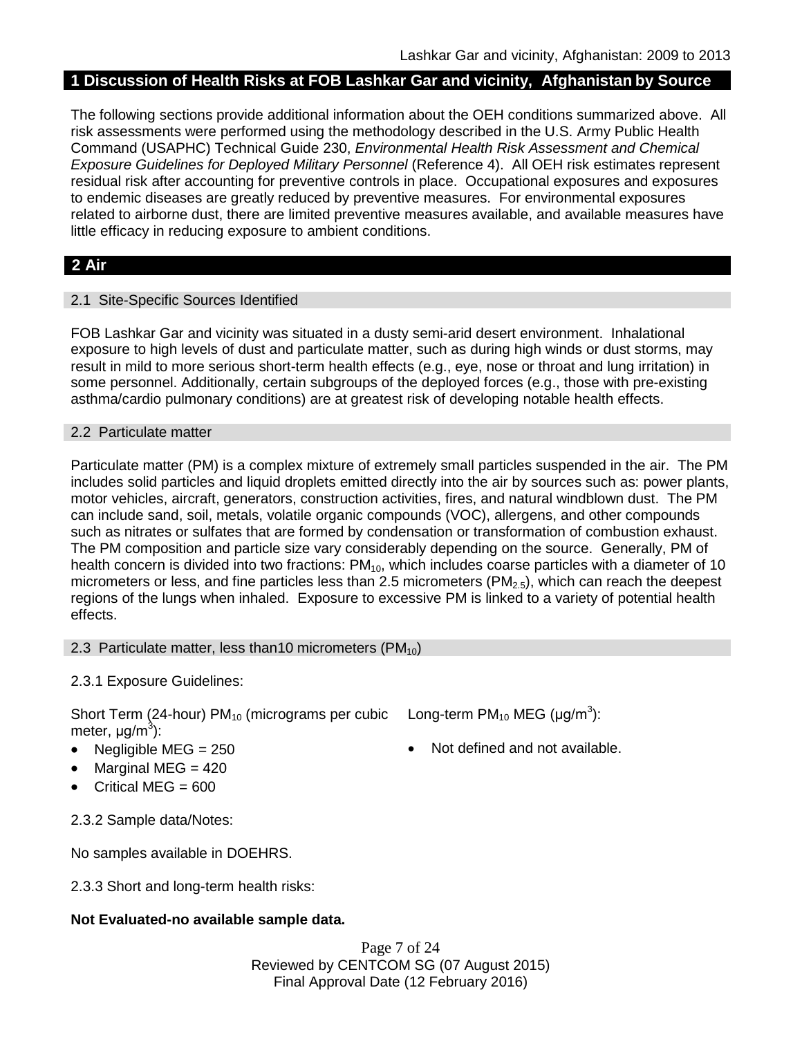## **1 Discussion of Health Risks at FOB Lashkar Gar and vicinity, Afghanistan by Source**

The following sections provide additional information about the OEH conditions summarized above. All risk assessments were performed using the methodology described in the U.S. Army Public Health Command (USAPHC) Technical Guide 230, *Environmental Health Risk Assessment and Chemical Exposure Guidelines for Deployed Military Personnel* (Reference 4). All OEH risk estimates represent residual risk after accounting for preventive controls in place. Occupational exposures and exposures to endemic diseases are greatly reduced by preventive measures. For environmental exposures related to airborne dust, there are limited preventive measures available, and available measures have little efficacy in reducing exposure to ambient conditions.

# **2 Air**

### 2.1 Site-Specific Sources Identified

FOB Lashkar Gar and vicinity was situated in a dusty semi-arid desert environment. Inhalational exposure to high levels of dust and particulate matter, such as during high winds or dust storms, may result in mild to more serious short-term health effects (e.g., eye, nose or throat and lung irritation) in some personnel. Additionally, certain subgroups of the deployed forces (e.g., those with pre-existing asthma/cardio pulmonary conditions) are at greatest risk of developing notable health effects.

#### 2.2 Particulate matter

Particulate matter (PM) is a complex mixture of extremely small particles suspended in the air. The PM includes solid particles and liquid droplets emitted directly into the air by sources such as: power plants, motor vehicles, aircraft, generators, construction activities, fires, and natural windblown dust. The PM can include sand, soil, metals, volatile organic compounds (VOC), allergens, and other compounds such as nitrates or sulfates that are formed by condensation or transformation of combustion exhaust. The PM composition and particle size vary considerably depending on the source. Generally, PM of health concern is divided into two fractions:  $PM_{10}$ , which includes coarse particles with a diameter of 10 micrometers or less, and fine particles less than 2.5 micrometers ( $PM<sub>2.5</sub>$ ), which can reach the deepest regions of the lungs when inhaled. Exposure to excessive PM is linked to a variety of potential health effects.

#### 2.3 Particulate matter, less than10 micrometers  $(PM_{10})$

2.3.1 Exposure Guidelines:

Short Term (24-hour) PM<sub>10</sub> (micrograms per cubic Long-term PM<sub>10</sub> MEG (µg/m<sup>3</sup>): meter, μg/m<sup>3</sup>):

- 
- Marginal MEG  $= 420$
- Critical MEG = 600

2.3.2 Sample data/Notes:

No samples available in DOEHRS.

2.3.3 Short and long-term health risks:

### **Not Evaluated-no available sample data.**

Page 7 of 24 Reviewed by CENTCOM SG (07 August 2015) Final Approval Date (12 February 2016)

Negligible MEG = 250 **•** Not defined and not available.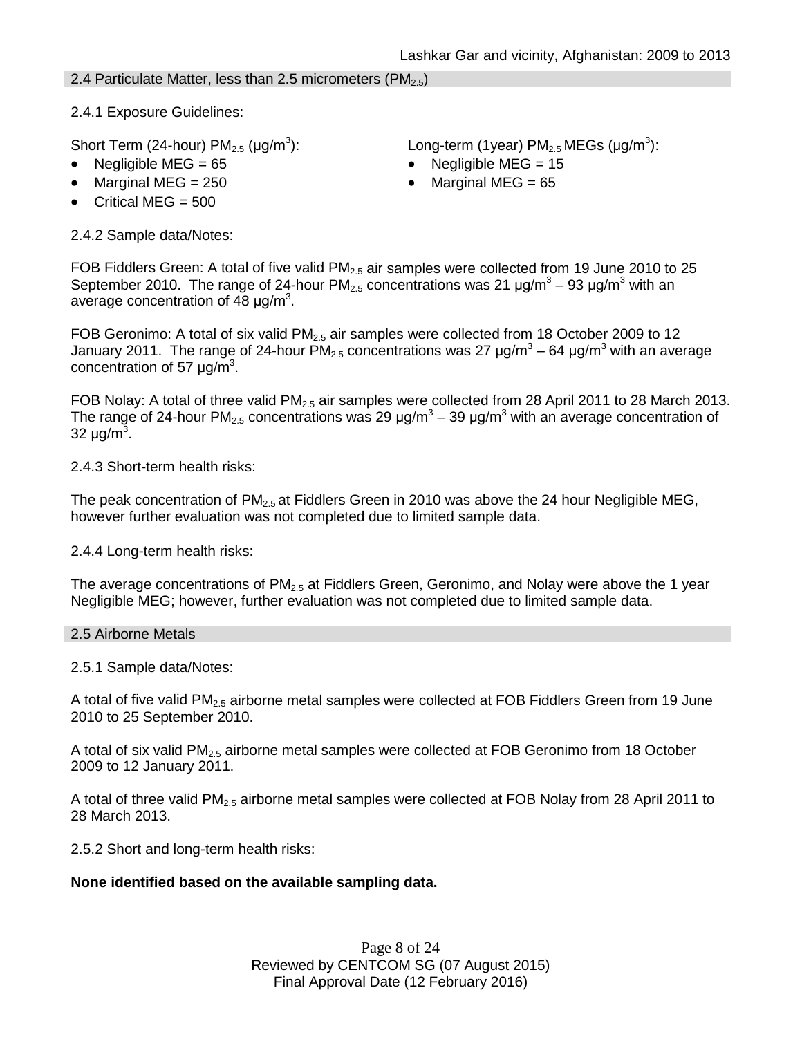2.4 Particulate Matter, less than 2.5 micrometers ( $PM_{2.5}$ )

2.4.1 Exposure Guidelines:

Short Term (24-hour)  $PM_{2.5}$  ( $\mu$ g/m<sup>3</sup>):

- 
- 
- Critical MEG  $= 500$

2.4.2 Sample data/Notes:

): Long-term (1year)  $PM_{2.5}$  MEGs ( $\mu$ g/m<sup>3</sup>):

- Negligible MEG = 65 Negligible MEG = 15
- Marginal MEG =  $250$  Marginal MEG =  $65$

FOB Fiddlers Green: A total of five valid  $PM<sub>2.5</sub>$  air samples were collected from 19 June 2010 to 25 September 2010. The range of 24-hour PM<sub>2.5</sub> concentrations was 21  $\mu$ g/m<sup>3</sup> – 93  $\mu$ g/m<sup>3</sup> with an average concentration of 48  $\mu$ g/m<sup>3</sup>.

FOB Geronimo: A total of six valid  $PM<sub>2.5</sub>$  air samples were collected from 18 October 2009 to 12 January 2011. The range of 24-hour PM<sub>2.5</sub> concentrations was 27  $\mu$ g/m<sup>3</sup> – 64  $\mu$ g/m<sup>3</sup> with an average concentration of 57  $\mu$ g/m<sup>3</sup>.

FOB Nolay: A total of three valid PM<sub>2.5</sub> air samples were collected from 28 April 2011 to 28 March 2013. The range of 24-hour PM<sub>2.5</sub> concentrations was 29  $\mu$ g/m<sup>3</sup> – 39  $\mu$ g/m<sup>3</sup> with an average concentration of 32 μg/m<sup>3</sup>.

2.4.3 Short-term health risks:

The peak concentration of PM<sub>2.5</sub> at Fiddlers Green in 2010 was above the 24 hour Negligible MEG, however further evaluation was not completed due to limited sample data.

2.4.4 Long-term health risks:

The average concentrations of  $PM_{2.5}$  at Fiddlers Green, Geronimo, and Nolay were above the 1 year Negligible MEG; however, further evaluation was not completed due to limited sample data.

2.5 Airborne Metals

2.5.1 Sample data/Notes:

A total of five valid  $PM<sub>2.5</sub>$  airborne metal samples were collected at FOB Fiddlers Green from 19 June 2010 to 25 September 2010.

A total of six valid PM<sub>2.5</sub> airborne metal samples were collected at FOB Geronimo from 18 October 2009 to 12 January 2011.

A total of three valid PM2.5 airborne metal samples were collected at FOB Nolay from 28 April 2011 to 28 March 2013.

2.5.2 Short and long-term health risks:

### **None identified based on the available sampling data.**

Page 8 of 24 Reviewed by CENTCOM SG (07 August 2015) Final Approval Date (12 February 2016)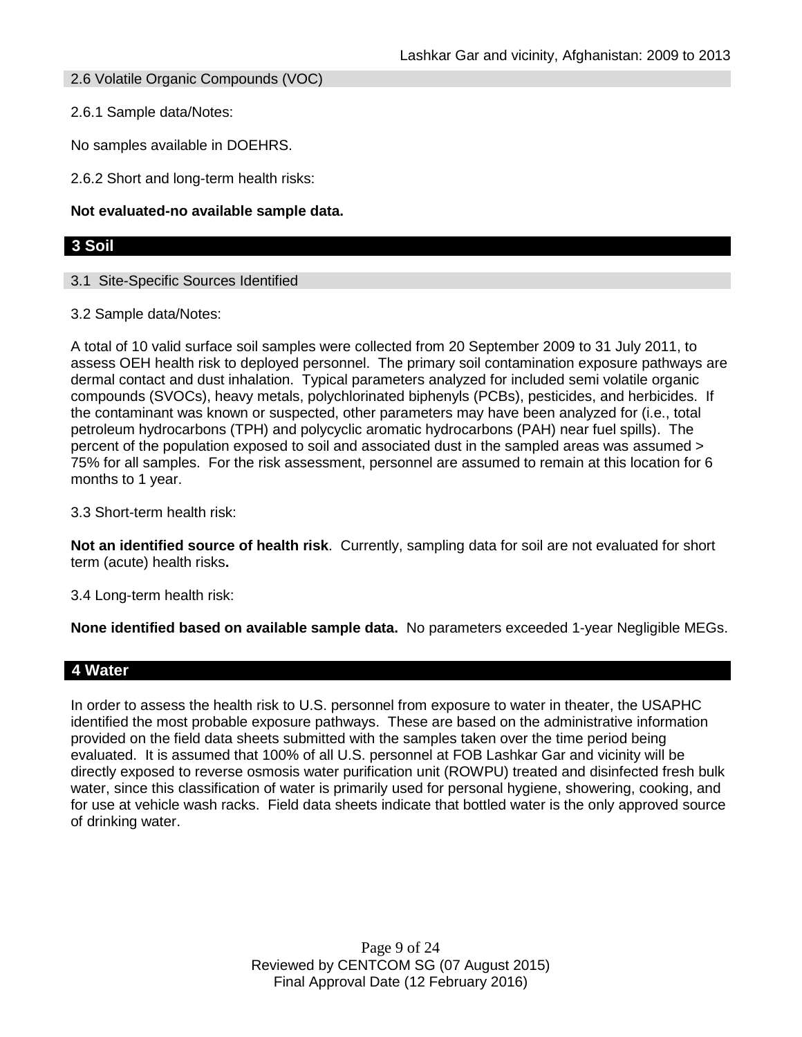2.6 Volatile Organic Compounds (VOC)

2.6.1 Sample data/Notes:

No samples available in DOEHRS.

2.6.2 Short and long-term health risks:

### **Not evaluated-no available sample data.**

### **3 Soil**

3.1 Site-Specific Sources Identified

3.2 Sample data/Notes:

A total of 10 valid surface soil samples were collected from 20 September 2009 to 31 July 2011, to assess OEH health risk to deployed personnel. The primary soil contamination exposure pathways are dermal contact and dust inhalation. Typical parameters analyzed for included semi volatile organic compounds (SVOCs), heavy metals, polychlorinated biphenyls (PCBs), pesticides, and herbicides. If the contaminant was known or suspected, other parameters may have been analyzed for (i.e., total petroleum hydrocarbons (TPH) and polycyclic aromatic hydrocarbons (PAH) near fuel spills). The percent of the population exposed to soil and associated dust in the sampled areas was assumed > 75% for all samples. For the risk assessment, personnel are assumed to remain at this location for 6 months to 1 year.

3.3 Short-term health risk:

**Not an identified source of health risk**. Currently, sampling data for soil are not evaluated for short term (acute) health risks**.**

3.4 Long-term health risk:

**None identified based on available sample data.** No parameters exceeded 1-year Negligible MEGs.

### **4 Water**

In order to assess the health risk to U.S. personnel from exposure to water in theater, the USAPHC identified the most probable exposure pathways. These are based on the administrative information provided on the field data sheets submitted with the samples taken over the time period being evaluated. It is assumed that 100% of all U.S. personnel at FOB Lashkar Gar and vicinity will be directly exposed to reverse osmosis water purification unit (ROWPU) treated and disinfected fresh bulk water, since this classification of water is primarily used for personal hygiene, showering, cooking, and for use at vehicle wash racks. Field data sheets indicate that bottled water is the only approved source of drinking water.

> Page 9 of 24 Reviewed by CENTCOM SG (07 August 2015) Final Approval Date (12 February 2016)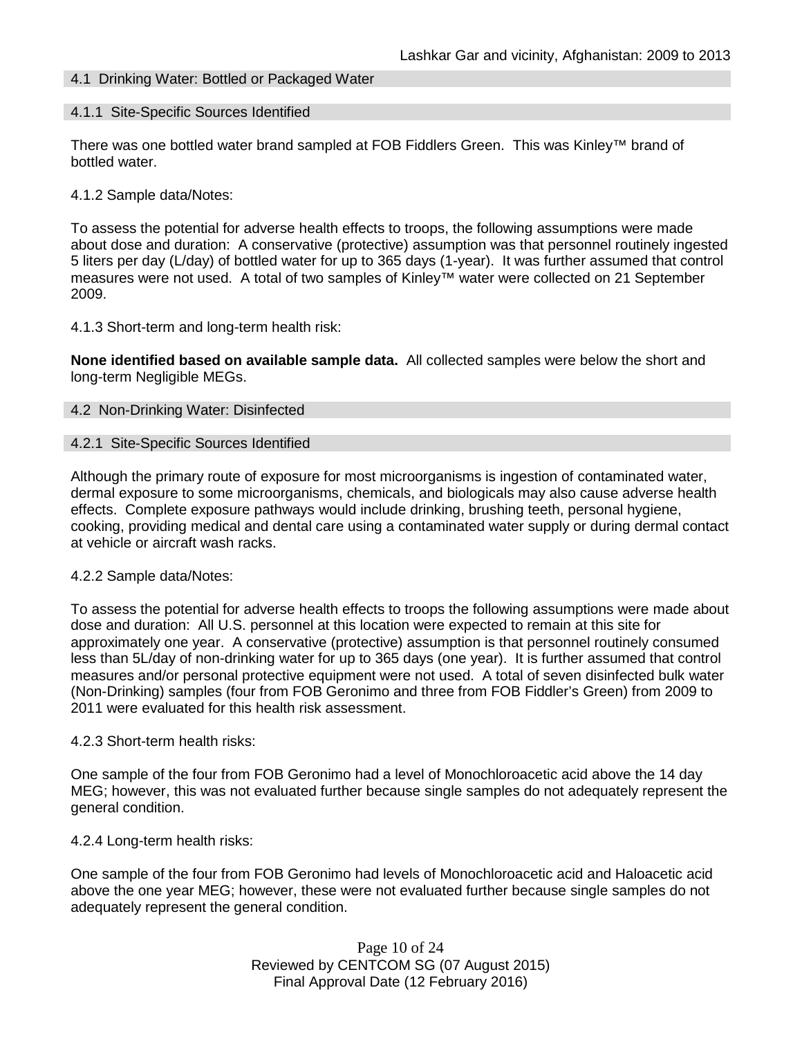### 4.1 Drinking Water: Bottled or Packaged Water

#### 4.1.1 Site-Specific Sources Identified

There was one bottled water brand sampled at FOB Fiddlers Green. This was Kinley™ brand of bottled water.

#### 4.1.2 Sample data/Notes:

To assess the potential for adverse health effects to troops, the following assumptions were made about dose and duration: A conservative (protective) assumption was that personnel routinely ingested 5 liters per day (L/day) of bottled water for up to 365 days (1-year). It was further assumed that control measures were not used. A total of two samples of Kinley™ water were collected on 21 September 2009.

#### 4.1.3 Short-term and long-term health risk:

**None identified based on available sample data.** All collected samples were below the short and long-term Negligible MEGs.

#### 4.2 Non-Drinking Water: Disinfected

#### 4.2.1 Site-Specific Sources Identified

Although the primary route of exposure for most microorganisms is ingestion of contaminated water, dermal exposure to some microorganisms, chemicals, and biologicals may also cause adverse health effects. Complete exposure pathways would include drinking, brushing teeth, personal hygiene, cooking, providing medical and dental care using a contaminated water supply or during dermal contact at vehicle or aircraft wash racks.

#### 4.2.2 Sample data/Notes:

To assess the potential for adverse health effects to troops the following assumptions were made about dose and duration: All U.S. personnel at this location were expected to remain at this site for approximately one year. A conservative (protective) assumption is that personnel routinely consumed less than 5L/day of non-drinking water for up to 365 days (one year). It is further assumed that control measures and/or personal protective equipment were not used. A total of seven disinfected bulk water (Non-Drinking) samples (four from FOB Geronimo and three from FOB Fiddler's Green) from 2009 to 2011 were evaluated for this health risk assessment.

#### 4.2.3 Short-term health risks:

One sample of the four from FOB Geronimo had a level of Monochloroacetic acid above the 14 day MEG; however, this was not evaluated further because single samples do not adequately represent the general condition.

#### 4.2.4 Long-term health risks:

One sample of the four from FOB Geronimo had levels of Monochloroacetic acid and Haloacetic acid above the one year MEG; however, these were not evaluated further because single samples do not adequately represent the general condition.

> Page 10 of 24 Reviewed by CENTCOM SG (07 August 2015) Final Approval Date (12 February 2016)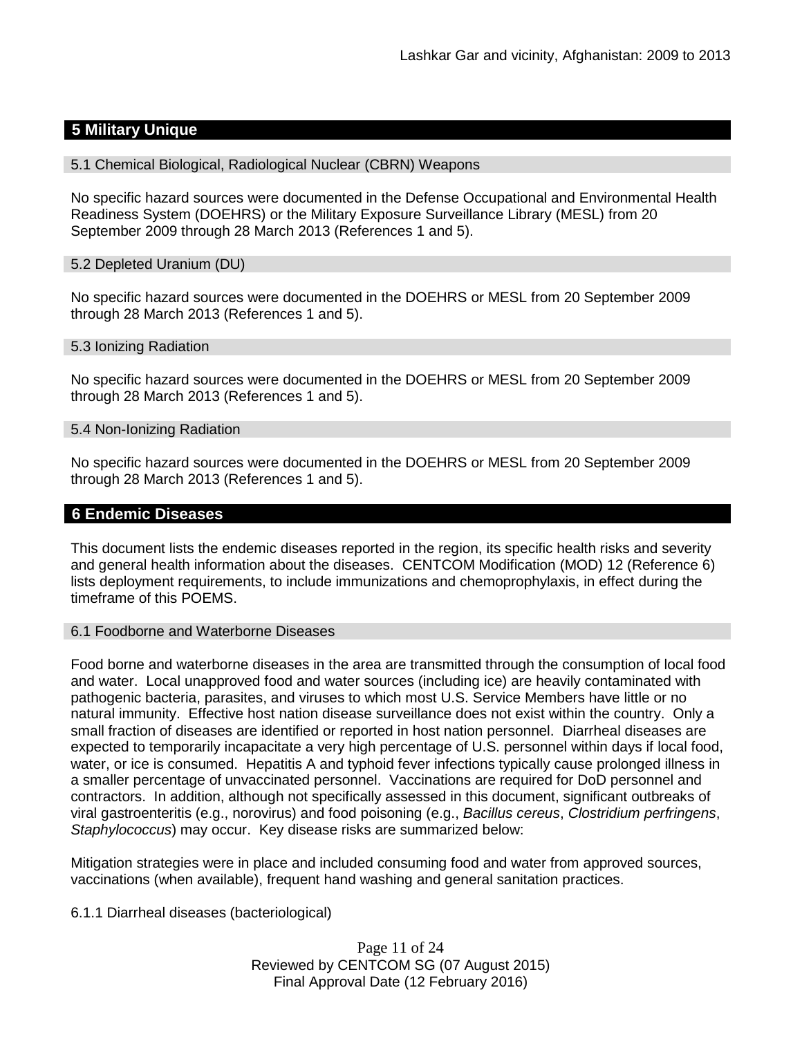# **5 Military Unique**

### 5.1 Chemical Biological, Radiological Nuclear (CBRN) Weapons

No specific hazard sources were documented in the Defense Occupational and Environmental Health Readiness System (DOEHRS) or the Military Exposure Surveillance Library (MESL) from 20 September 2009 through 28 March 2013 (References 1 and 5).

#### 5.2 Depleted Uranium (DU)

No specific hazard sources were documented in the DOEHRS or MESL from 20 September 2009 through 28 March 2013 (References 1 and 5).

#### 5.3 Ionizing Radiation

No specific hazard sources were documented in the DOEHRS or MESL from 20 September 2009 through 28 March 2013 (References 1 and 5).

#### 5.4 Non-Ionizing Radiation

No specific hazard sources were documented in the DOEHRS or MESL from 20 September 2009 through 28 March 2013 (References 1 and 5).

### **6 Endemic Diseases**

This document lists the endemic diseases reported in the region, its specific health risks and severity and general health information about the diseases. CENTCOM Modification (MOD) 12 (Reference 6) lists deployment requirements, to include immunizations and chemoprophylaxis, in effect during the timeframe of this POEMS.

#### 6.1 Foodborne and Waterborne Diseases

Food borne and waterborne diseases in the area are transmitted through the consumption of local food and water. Local unapproved food and water sources (including ice) are heavily contaminated with pathogenic bacteria, parasites, and viruses to which most U.S. Service Members have little or no natural immunity. Effective host nation disease surveillance does not exist within the country. Only a small fraction of diseases are identified or reported in host nation personnel. Diarrheal diseases are expected to temporarily incapacitate a very high percentage of U.S. personnel within days if local food, water, or ice is consumed. Hepatitis A and typhoid fever infections typically cause prolonged illness in a smaller percentage of unvaccinated personnel. Vaccinations are required for DoD personnel and contractors. In addition, although not specifically assessed in this document, significant outbreaks of viral gastroenteritis (e.g., norovirus) and food poisoning (e.g., *Bacillus cereus*, *Clostridium perfringens*, *Staphylococcus*) may occur. Key disease risks are summarized below:

Mitigation strategies were in place and included consuming food and water from approved sources, vaccinations (when available), frequent hand washing and general sanitation practices.

### 6.1.1 Diarrheal diseases (bacteriological)

Page 11 of 24 Reviewed by CENTCOM SG (07 August 2015) Final Approval Date (12 February 2016)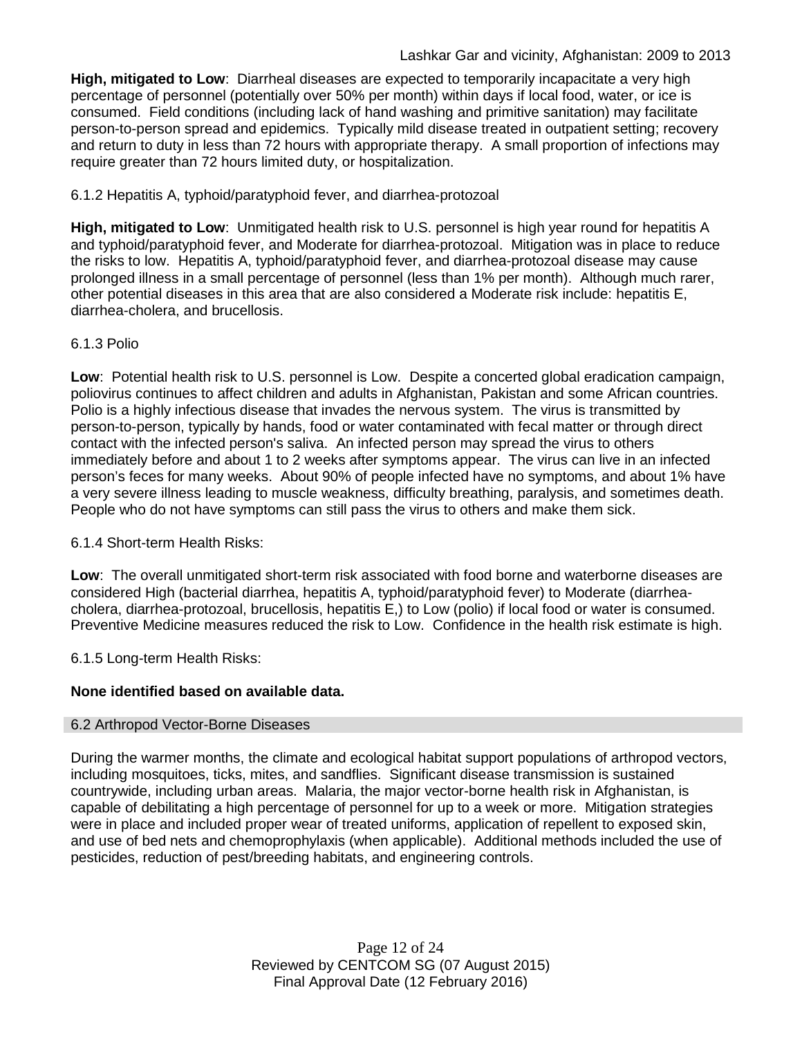**High, mitigated to Low**: Diarrheal diseases are expected to temporarily incapacitate a very high percentage of personnel (potentially over 50% per month) within days if local food, water, or ice is consumed. Field conditions (including lack of hand washing and primitive sanitation) may facilitate person-to-person spread and epidemics. Typically mild disease treated in outpatient setting; recovery and return to duty in less than 72 hours with appropriate therapy. A small proportion of infections may require greater than 72 hours limited duty, or hospitalization.

6.1.2 Hepatitis A, typhoid/paratyphoid fever, and diarrhea-protozoal

**High, mitigated to Low**: Unmitigated health risk to U.S. personnel is high year round for hepatitis A and typhoid/paratyphoid fever, and Moderate for diarrhea-protozoal. Mitigation was in place to reduce the risks to low. Hepatitis A, typhoid/paratyphoid fever, and diarrhea-protozoal disease may cause prolonged illness in a small percentage of personnel (less than 1% per month). Although much rarer, other potential diseases in this area that are also considered a Moderate risk include: hepatitis E, diarrhea-cholera, and brucellosis.

### 6.1.3 Polio

**Low**: Potential health risk to U.S. personnel is Low. Despite a concerted global eradication campaign, poliovirus continues to affect children and adults in Afghanistan, Pakistan and some African countries. Polio is a highly infectious disease that invades the nervous system. The virus is transmitted by person-to-person, typically by hands, food or water contaminated with fecal matter or through direct contact with the infected person's saliva. An infected person may spread the virus to others immediately before and about 1 to 2 weeks after symptoms appear. The virus can live in an infected person's feces for many weeks. About 90% of people infected have no symptoms, and about 1% have a very severe illness leading to muscle weakness, difficulty breathing, paralysis, and sometimes death. People who do not have symptoms can still pass the virus to others and make them sick.

6.1.4 Short-term Health Risks:

**Low**: The overall unmitigated short-term risk associated with food borne and waterborne diseases are considered High (bacterial diarrhea, hepatitis A, typhoid/paratyphoid fever) to Moderate (diarrheacholera, diarrhea-protozoal, brucellosis, hepatitis E,) to Low (polio) if local food or water is consumed. Preventive Medicine measures reduced the risk to Low. Confidence in the health risk estimate is high.

6.1.5 Long-term Health Risks:

# **None identified based on available data.**

### 6.2 Arthropod Vector-Borne Diseases

During the warmer months, the climate and ecological habitat support populations of arthropod vectors, including mosquitoes, ticks, mites, and sandflies. Significant disease transmission is sustained countrywide, including urban areas. Malaria, the major vector-borne health risk in Afghanistan, is capable of debilitating a high percentage of personnel for up to a week or more. Mitigation strategies were in place and included proper wear of treated uniforms, application of repellent to exposed skin, and use of bed nets and chemoprophylaxis (when applicable). Additional methods included the use of pesticides, reduction of pest/breeding habitats, and engineering controls.

> Page 12 of 24 Reviewed by CENTCOM SG (07 August 2015) Final Approval Date (12 February 2016)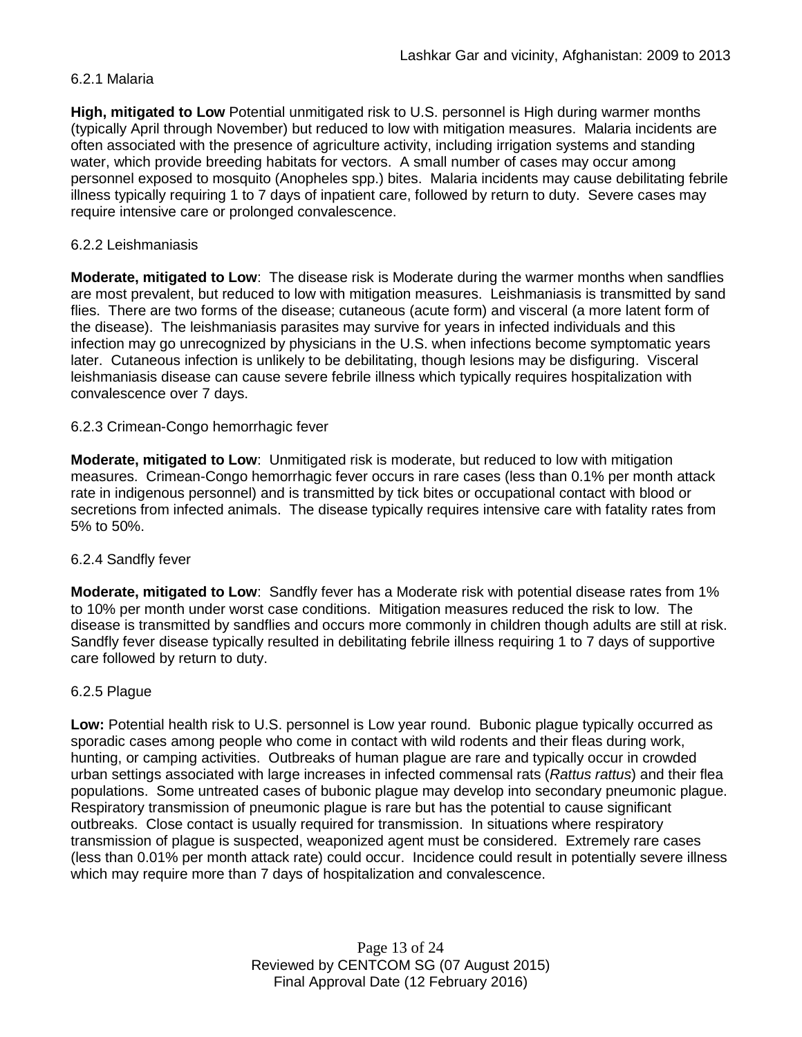### 6.2.1 Malaria

**High, mitigated to Low** Potential unmitigated risk to U.S. personnel is High during warmer months (typically April through November) but reduced to low with mitigation measures. Malaria incidents are often associated with the presence of agriculture activity, including irrigation systems and standing water, which provide breeding habitats for vectors. A small number of cases may occur among personnel exposed to mosquito (Anopheles spp.) bites. Malaria incidents may cause debilitating febrile illness typically requiring 1 to 7 days of inpatient care, followed by return to duty. Severe cases may require intensive care or prolonged convalescence.

### 6.2.2 Leishmaniasis

**Moderate, mitigated to Low**: The disease risk is Moderate during the warmer months when sandflies are most prevalent, but reduced to low with mitigation measures. Leishmaniasis is transmitted by sand flies. There are two forms of the disease; cutaneous (acute form) and visceral (a more latent form of the disease). The leishmaniasis parasites may survive for years in infected individuals and this infection may go unrecognized by physicians in the U.S. when infections become symptomatic years later. Cutaneous infection is unlikely to be debilitating, though lesions may be disfiguring. Visceral leishmaniasis disease can cause severe febrile illness which typically requires hospitalization with convalescence over 7 days.

### 6.2.3 Crimean-Congo hemorrhagic fever

**Moderate, mitigated to Low**: Unmitigated risk is moderate, but reduced to low with mitigation measures. Crimean-Congo hemorrhagic fever occurs in rare cases (less than 0.1% per month attack rate in indigenous personnel) and is transmitted by tick bites or occupational contact with blood or secretions from infected animals. The disease typically requires intensive care with fatality rates from 5% to 50%.

#### 6.2.4 Sandfly fever

**Moderate, mitigated to Low**: Sandfly fever has a Moderate risk with potential disease rates from 1% to 10% per month under worst case conditions. Mitigation measures reduced the risk to low. The disease is transmitted by sandflies and occurs more commonly in children though adults are still at risk. Sandfly fever disease typically resulted in debilitating febrile illness requiring 1 to 7 days of supportive care followed by return to duty.

#### 6.2.5 Plague

**Low:** Potential health risk to U.S. personnel is Low year round. Bubonic plague typically occurred as sporadic cases among people who come in contact with wild rodents and their fleas during work, hunting, or camping activities. Outbreaks of human plague are rare and typically occur in crowded urban settings associated with large increases in infected commensal rats (*Rattus rattus*) and their flea populations. Some untreated cases of bubonic plague may develop into secondary pneumonic plague. Respiratory transmission of pneumonic plague is rare but has the potential to cause significant outbreaks. Close contact is usually required for transmission. In situations where respiratory transmission of plague is suspected, weaponized agent must be considered. Extremely rare cases (less than 0.01% per month attack rate) could occur. Incidence could result in potentially severe illness which may require more than 7 days of hospitalization and convalescence.

> Page 13 of 24 Reviewed by CENTCOM SG (07 August 2015) Final Approval Date (12 February 2016)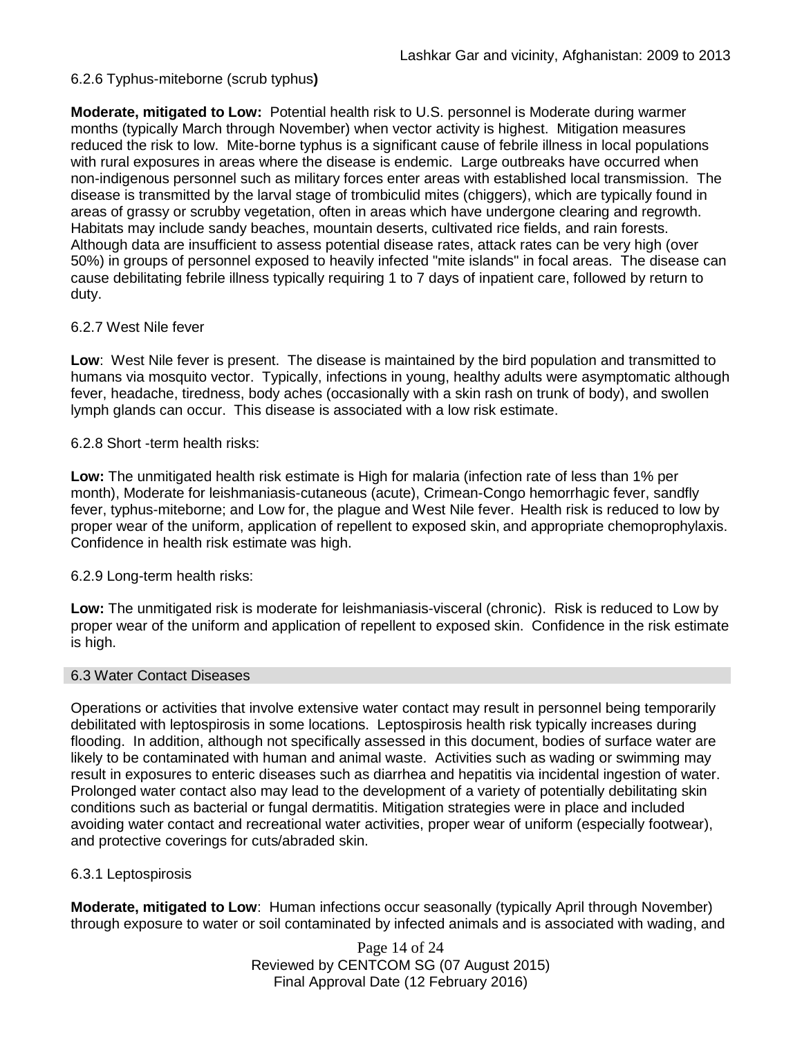### 6.2.6 Typhus-miteborne (scrub typhus**)**

**Moderate, mitigated to Low:** Potential health risk to U.S. personnel is Moderate during warmer months (typically March through November) when vector activity is highest. Mitigation measures reduced the risk to low. Mite-borne typhus is a significant cause of febrile illness in local populations with rural exposures in areas where the disease is endemic. Large outbreaks have occurred when non-indigenous personnel such as military forces enter areas with established local transmission. The disease is transmitted by the larval stage of trombiculid mites (chiggers), which are typically found in areas of grassy or scrubby vegetation, often in areas which have undergone clearing and regrowth. Habitats may include sandy beaches, mountain deserts, cultivated rice fields, and rain forests. Although data are insufficient to assess potential disease rates, attack rates can be very high (over 50%) in groups of personnel exposed to heavily infected "mite islands" in focal areas. The disease can cause debilitating febrile illness typically requiring 1 to 7 days of inpatient care, followed by return to duty.

### 6.2.7 West Nile fever

**Low**: West Nile fever is present. The disease is maintained by the bird population and transmitted to humans via mosquito vector. Typically, infections in young, healthy adults were asymptomatic although fever, headache, tiredness, body aches (occasionally with a skin rash on trunk of body), and swollen lymph glands can occur. This disease is associated with a low risk estimate.

### 6.2.8 Short -term health risks:

**Low:** The unmitigated health risk estimate is High for malaria (infection rate of less than 1% per month), Moderate for leishmaniasis-cutaneous (acute), Crimean-Congo hemorrhagic fever, sandfly fever, typhus-miteborne; and Low for, the plague and West Nile fever. Health risk is reduced to low by proper wear of the uniform, application of repellent to exposed skin, and appropriate chemoprophylaxis. Confidence in health risk estimate was high.

### 6.2.9 Long-term health risks:

**Low:** The unmitigated risk is moderate for leishmaniasis-visceral (chronic). Risk is reduced to Low by proper wear of the uniform and application of repellent to exposed skin. Confidence in the risk estimate is high.

#### 6.3 Water Contact Diseases

Operations or activities that involve extensive water contact may result in personnel being temporarily debilitated with leptospirosis in some locations. Leptospirosis health risk typically increases during flooding. In addition, although not specifically assessed in this document, bodies of surface water are likely to be contaminated with human and animal waste. Activities such as wading or swimming may result in exposures to enteric diseases such as diarrhea and hepatitis via incidental ingestion of water. Prolonged water contact also may lead to the development of a variety of potentially debilitating skin conditions such as bacterial or fungal dermatitis. Mitigation strategies were in place and included avoiding water contact and recreational water activities, proper wear of uniform (especially footwear), and protective coverings for cuts/abraded skin.

### 6.3.1 Leptospirosis

**Moderate, mitigated to Low**: Human infections occur seasonally (typically April through November) through exposure to water or soil contaminated by infected animals and is associated with wading, and

> Page 14 of 24 Reviewed by CENTCOM SG (07 August 2015) Final Approval Date (12 February 2016)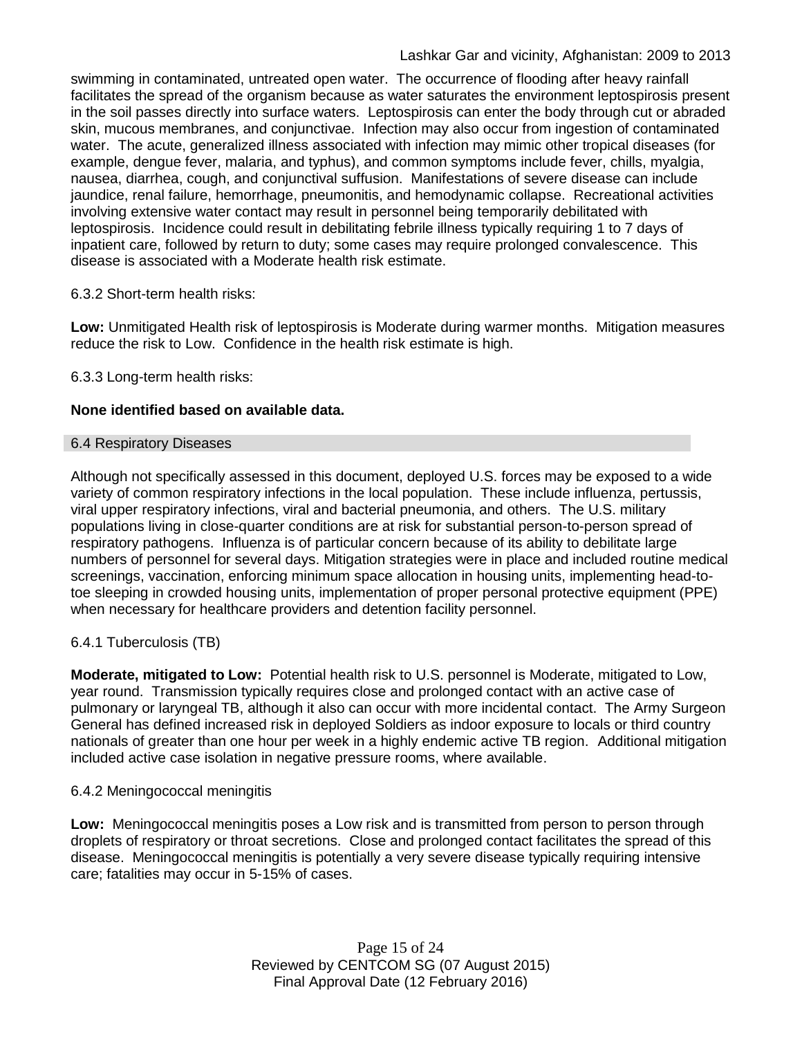swimming in contaminated, untreated open water. The occurrence of flooding after heavy rainfall facilitates the spread of the organism because as water saturates the environment leptospirosis present in the soil passes directly into surface waters. Leptospirosis can enter the body through cut or abraded skin, mucous membranes, and conjunctivae. Infection may also occur from ingestion of contaminated water. The acute, generalized illness associated with infection may mimic other tropical diseases (for example, dengue fever, malaria, and typhus), and common symptoms include fever, chills, myalgia, nausea, diarrhea, cough, and conjunctival suffusion. Manifestations of severe disease can include jaundice, renal failure, hemorrhage, pneumonitis, and hemodynamic collapse. Recreational activities involving extensive water contact may result in personnel being temporarily debilitated with leptospirosis. Incidence could result in debilitating febrile illness typically requiring 1 to 7 days of inpatient care, followed by return to duty; some cases may require prolonged convalescence. This disease is associated with a Moderate health risk estimate.

### 6.3.2 Short-term health risks:

**Low:** Unmitigated Health risk of leptospirosis is Moderate during warmer months. Mitigation measures reduce the risk to Low. Confidence in the health risk estimate is high.

6.3.3 Long-term health risks:

### **None identified based on available data.**

### 6.4 Respiratory Diseases

Although not specifically assessed in this document, deployed U.S. forces may be exposed to a wide variety of common respiratory infections in the local population. These include influenza, pertussis, viral upper respiratory infections, viral and bacterial pneumonia, and others. The U.S. military populations living in close-quarter conditions are at risk for substantial person-to-person spread of respiratory pathogens. Influenza is of particular concern because of its ability to debilitate large numbers of personnel for several days. Mitigation strategies were in place and included routine medical screenings, vaccination, enforcing minimum space allocation in housing units, implementing head-totoe sleeping in crowded housing units, implementation of proper personal protective equipment (PPE) when necessary for healthcare providers and detention facility personnel.

# 6.4.1 Tuberculosis (TB)

**Moderate, mitigated to Low:** Potential health risk to U.S. personnel is Moderate, mitigated to Low, year round. Transmission typically requires close and prolonged contact with an active case of pulmonary or laryngeal TB, although it also can occur with more incidental contact. The Army Surgeon General has defined increased risk in deployed Soldiers as indoor exposure to locals or third country nationals of greater than one hour per week in a highly endemic active TB region. Additional mitigation included active case isolation in negative pressure rooms, where available.

### 6.4.2 Meningococcal meningitis

**Low:** Meningococcal meningitis poses a Low risk and is transmitted from person to person through droplets of respiratory or throat secretions. Close and prolonged contact facilitates the spread of this disease. Meningococcal meningitis is potentially a very severe disease typically requiring intensive care; fatalities may occur in 5-15% of cases.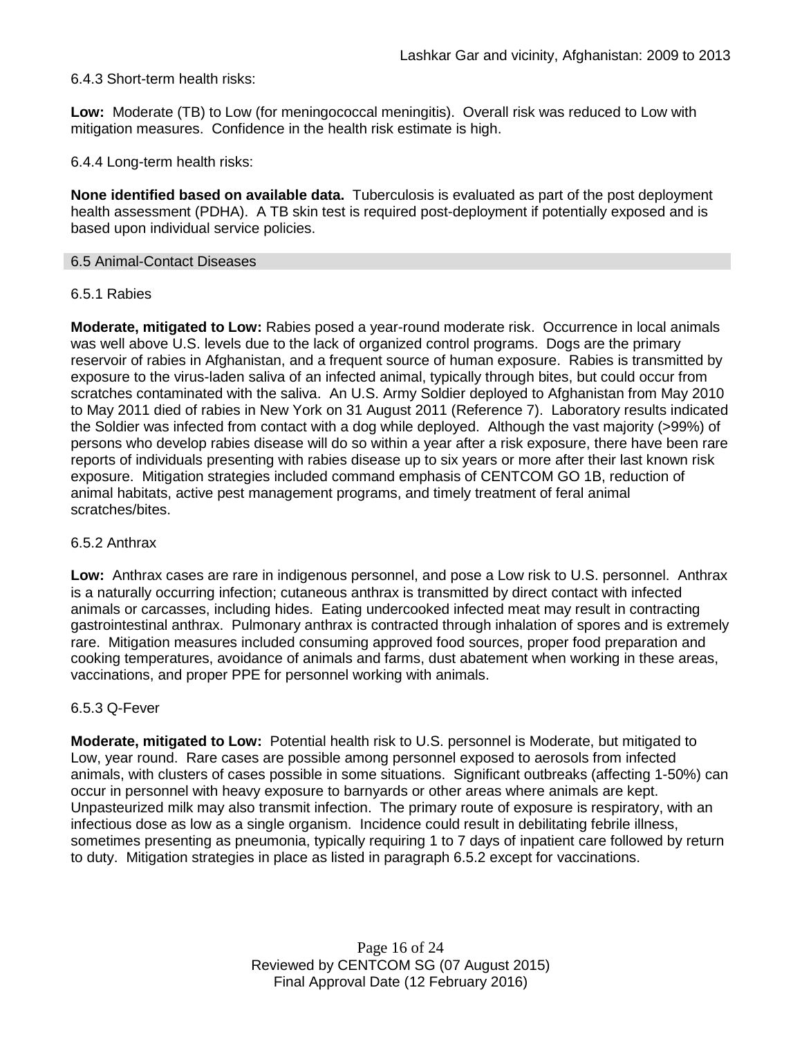### 6.4.3 Short-term health risks:

**Low:** Moderate (TB) to Low (for meningococcal meningitis). Overall risk was reduced to Low with mitigation measures. Confidence in the health risk estimate is high.

6.4.4 Long-term health risks:

**None identified based on available data.** Tuberculosis is evaluated as part of the post deployment health assessment (PDHA). A TB skin test is required post-deployment if potentially exposed and is based upon individual service policies.

#### 6.5 Animal-Contact Diseases

#### 6.5.1 Rabies

**Moderate, mitigated to Low:** Rabies posed a year-round moderate risk. Occurrence in local animals was well above U.S. levels due to the lack of organized control programs. Dogs are the primary reservoir of rabies in Afghanistan, and a frequent source of human exposure. Rabies is transmitted by exposure to the virus-laden saliva of an infected animal, typically through bites, but could occur from scratches contaminated with the saliva. An U.S. Army Soldier deployed to Afghanistan from May 2010 to May 2011 died of rabies in New York on 31 August 2011 (Reference 7). Laboratory results indicated the Soldier was infected from contact with a dog while deployed. Although the vast majority (>99%) of persons who develop rabies disease will do so within a year after a risk exposure, there have been rare reports of individuals presenting with rabies disease up to six years or more after their last known risk exposure. Mitigation strategies included command emphasis of CENTCOM GO 1B, reduction of animal habitats, active pest management programs, and timely treatment of feral animal scratches/bites.

#### 6.5.2 Anthrax

**Low:** Anthrax cases are rare in indigenous personnel, and pose a Low risk to U.S. personnel. Anthrax is a naturally occurring infection; cutaneous anthrax is transmitted by direct contact with infected animals or carcasses, including hides. Eating undercooked infected meat may result in contracting gastrointestinal anthrax. Pulmonary anthrax is contracted through inhalation of spores and is extremely rare. Mitigation measures included consuming approved food sources, proper food preparation and cooking temperatures, avoidance of animals and farms, dust abatement when working in these areas, vaccinations, and proper PPE for personnel working with animals.

#### 6.5.3 Q-Fever

**Moderate, mitigated to Low:** Potential health risk to U.S. personnel is Moderate, but mitigated to Low, year round. Rare cases are possible among personnel exposed to aerosols from infected animals, with clusters of cases possible in some situations. Significant outbreaks (affecting 1-50%) can occur in personnel with heavy exposure to barnyards or other areas where animals are kept. Unpasteurized milk may also transmit infection. The primary route of exposure is respiratory, with an infectious dose as low as a single organism. Incidence could result in debilitating febrile illness, sometimes presenting as pneumonia, typically requiring 1 to 7 days of inpatient care followed by return to duty. Mitigation strategies in place as listed in paragraph 6.5.2 except for vaccinations.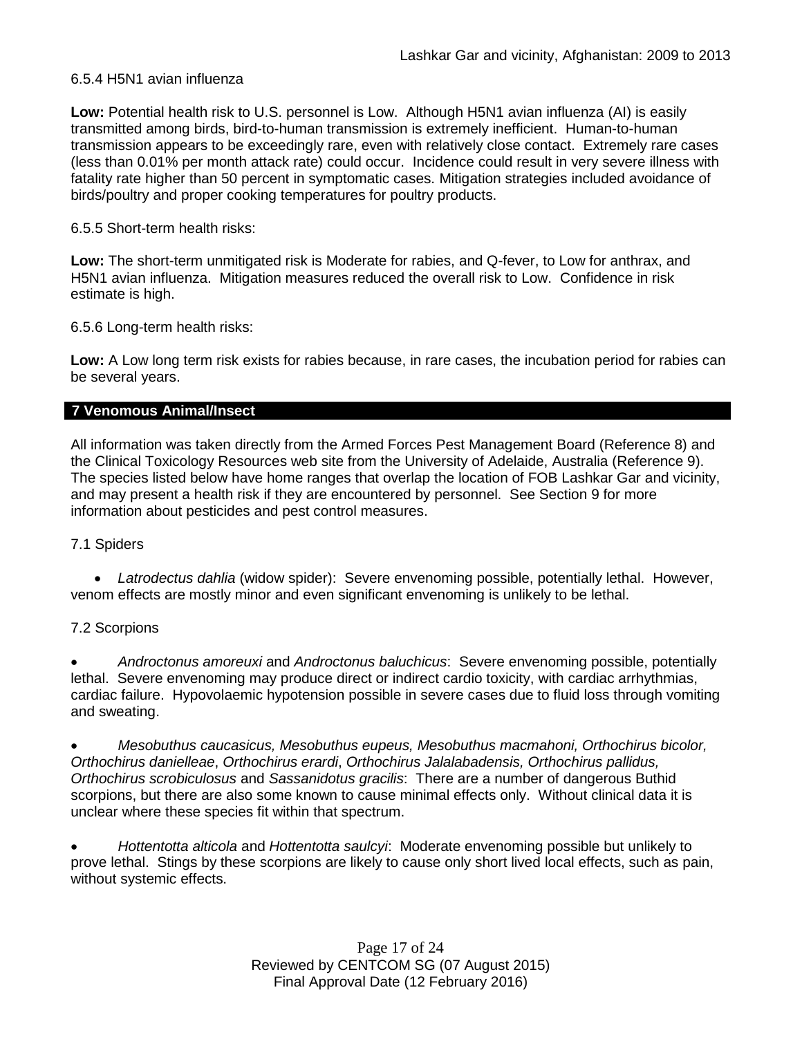### 6.5.4 H5N1 avian influenza

**Low:** Potential health risk to U.S. personnel is Low. Although H5N1 avian influenza (AI) is easily transmitted among birds, bird-to-human transmission is extremely inefficient. Human-to-human transmission appears to be exceedingly rare, even with relatively close contact. Extremely rare cases (less than 0.01% per month attack rate) could occur. Incidence could result in very severe illness with fatality rate higher than 50 percent in symptomatic cases. Mitigation strategies included avoidance of birds/poultry and proper cooking temperatures for poultry products.

### 6.5.5 Short-term health risks:

**Low:** The short-term unmitigated risk is Moderate for rabies, and Q-fever, to Low for anthrax, and H5N1 avian influenza. Mitigation measures reduced the overall risk to Low.Confidence in risk estimate is high.

6.5.6 Long-term health risks:

**Low:** A Low long term risk exists for rabies because, in rare cases, the incubation period for rabies can be several years.

### **7 Venomous Animal/Insect**

All information was taken directly from the Armed Forces Pest Management Board (Reference 8) and the Clinical Toxicology Resources web site from the University of Adelaide, Australia (Reference 9). The species listed below have home ranges that overlap the location of FOB Lashkar Gar and vicinity, and may present a health risk if they are encountered by personnel. See Section 9 for more information about pesticides and pest control measures.

### 7.1 Spiders

• *Latrodectus dahlia* (widow spider): Severe envenoming possible, potentially lethal. However, venom effects are mostly minor and even significant envenoming is unlikely to be lethal.

### 7.2 Scorpions

• *Androctonus amoreuxi* and *Androctonus baluchicus*: Severe envenoming possible, potentially lethal. Severe envenoming may produce direct or indirect cardio toxicity, with cardiac arrhythmias, cardiac failure. Hypovolaemic hypotension possible in severe cases due to fluid loss through vomiting and sweating.

• *Mesobuthus caucasicus, Mesobuthus eupeus, Mesobuthus macmahoni, Orthochirus bicolor, Orthochirus danielleae*, *Orthochirus erardi*, *Orthochirus Jalalabadensis, Orthochirus pallidus, Orthochirus scrobiculosus* and *Sassanidotus gracilis*: There are a number of dangerous Buthid scorpions, but there are also some known to cause minimal effects only. Without clinical data it is unclear where these species fit within that spectrum.

• *Hottentotta alticola* and *Hottentotta saulcyi*: Moderate envenoming possible but unlikely to prove lethal. Stings by these scorpions are likely to cause only short lived local effects, such as pain, without systemic effects.

> Page 17 of 24 Reviewed by CENTCOM SG (07 August 2015) Final Approval Date (12 February 2016)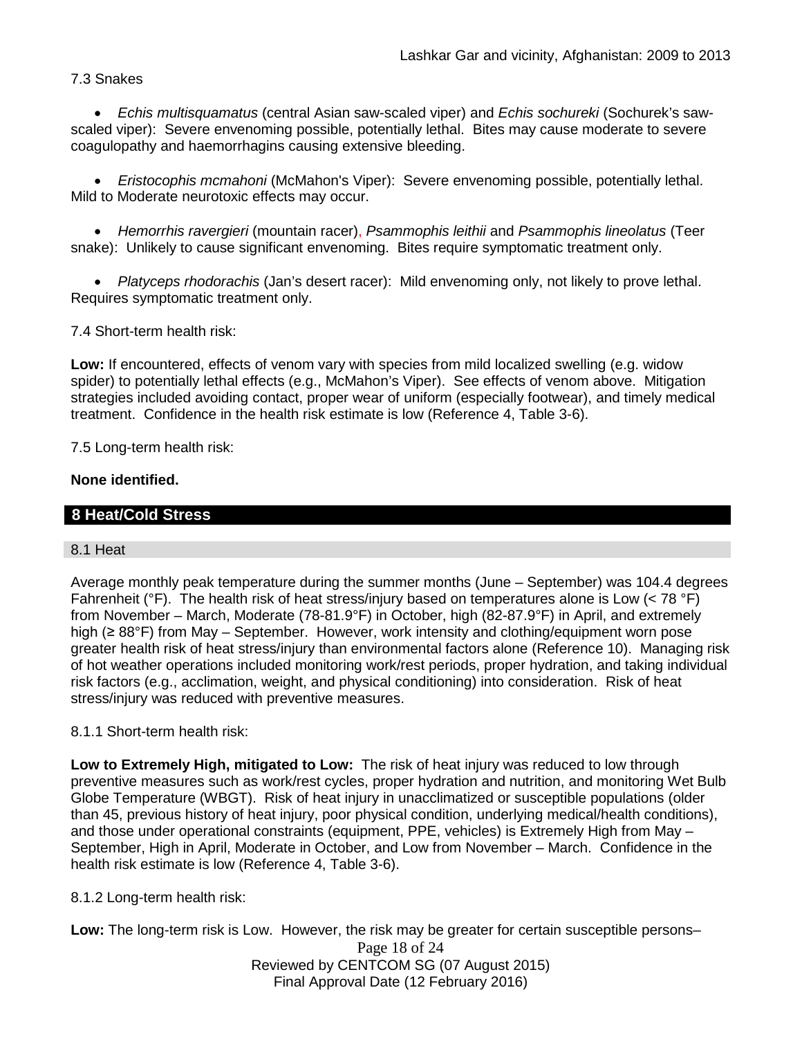### 7.3 Snakes

• *Echis multisquamatus* (central Asian saw-scaled viper) and *Echis sochureki* (Sochurek's sawscaled viper): Severe envenoming possible, potentially lethal. Bites may cause moderate to severe coagulopathy and haemorrhagins causing extensive bleeding.

• *Eristocophis mcmahoni* (McMahon's Viper): Severe envenoming possible, potentially lethal. Mild to Moderate neurotoxic effects may occur.

• *Hemorrhis ravergieri* (mountain racer), *Psammophis leithii* and *Psammophis lineolatus* (Teer snake): Unlikely to cause significant envenoming. Bites require symptomatic treatment only.

• *Platyceps rhodorachis* (Jan's desert racer): Mild envenoming only, not likely to prove lethal. Requires symptomatic treatment only.

7.4 Short-term health risk:

**Low:** If encountered, effects of venom vary with species from mild localized swelling (e.g. widow spider) to potentially lethal effects (e.g., McMahon's Viper). See effects of venom above. Mitigation strategies included avoiding contact, proper wear of uniform (especially footwear), and timely medical treatment. Confidence in the health risk estimate is low (Reference 4, Table 3-6).

7.5 Long-term health risk:

### **None identified.**

### **8 Heat/Cold Stress**

#### 8.1 Heat

Average monthly peak temperature during the summer months (June – September) was 104.4 degrees Fahrenheit ( ${}^{\circ}$ F). The health risk of heat stress/injury based on temperatures alone is Low (< 78  ${}^{\circ}$ F) from November – March, Moderate (78-81.9°F) in October, high (82-87.9°F) in April, and extremely high (≥ 88°F) from May – September. However, work intensity and clothing/equipment worn pose greater health risk of heat stress/injury than environmental factors alone (Reference 10). Managing risk of hot weather operations included monitoring work/rest periods, proper hydration, and taking individual risk factors (e.g., acclimation, weight, and physical conditioning) into consideration. Risk of heat stress/injury was reduced with preventive measures.

### 8.1.1 Short-term health risk:

**Low to Extremely High, mitigated to Low:** The risk of heat injury was reduced to low through preventive measures such as work/rest cycles, proper hydration and nutrition, and monitoring Wet Bulb Globe Temperature (WBGT). Risk of heat injury in unacclimatized or susceptible populations (older than 45, previous history of heat injury, poor physical condition, underlying medical/health conditions), and those under operational constraints (equipment, PPE, vehicles) is Extremely High from May – September, High in April, Moderate in October, and Low from November – March. Confidence in the health risk estimate is low (Reference 4, Table 3-6).

8.1.2 Long-term health risk:

**Low:** The long-term risk is Low. However, the risk may be greater for certain susceptible persons–

Page 18 of 24 Reviewed by CENTCOM SG (07 August 2015) Final Approval Date (12 February 2016)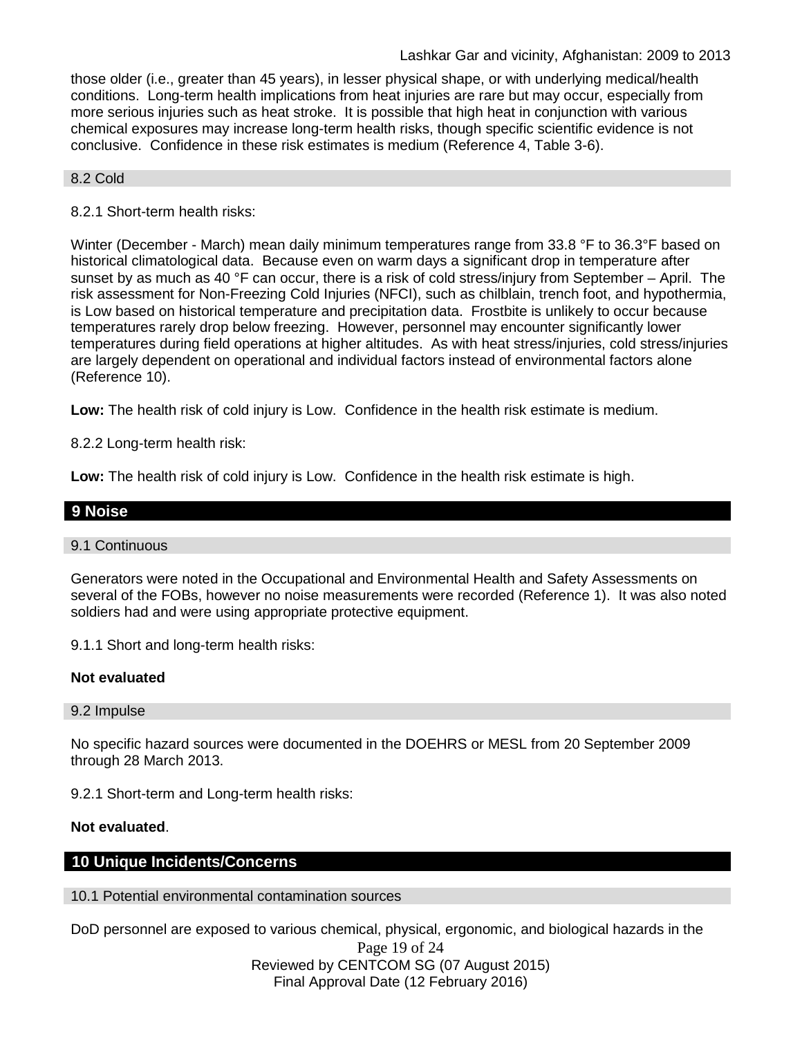those older (i.e., greater than 45 years), in lesser physical shape, or with underlying medical/health conditions. Long-term health implications from heat injuries are rare but may occur, especially from more serious injuries such as heat stroke. It is possible that high heat in conjunction with various chemical exposures may increase long-term health risks, though specific scientific evidence is not conclusive. Confidence in these risk estimates is medium (Reference 4, Table 3-6).

#### 8.2 Cold

### 8.2.1 Short-term health risks:

Winter (December - March) mean daily minimum temperatures range from 33.8 °F to 36.3°F based on historical climatological data. Because even on warm days a significant drop in temperature after sunset by as much as 40 °F can occur, there is a risk of cold stress/injury from September – April. The risk assessment for Non-Freezing Cold Injuries (NFCI), such as chilblain, trench foot, and hypothermia, is Low based on historical temperature and precipitation data. Frostbite is unlikely to occur because temperatures rarely drop below freezing. However, personnel may encounter significantly lower temperatures during field operations at higher altitudes. As with heat stress/injuries, cold stress/injuries are largely dependent on operational and individual factors instead of environmental factors alone (Reference 10).

**Low:** The health risk of cold injury is Low. Confidence in the health risk estimate is medium.

8.2.2 Long-term health risk:

**Low:** The health risk of cold injury is Low. Confidence in the health risk estimate is high.

# **9 Noise**

#### 9.1 Continuous

Generators were noted in the Occupational and Environmental Health and Safety Assessments on several of the FOBs, however no noise measurements were recorded (Reference 1). It was also noted soldiers had and were using appropriate protective equipment.

9.1.1 Short and long-term health risks:

### **Not evaluated**

9.2 Impulse

No specific hazard sources were documented in the DOEHRS or MESL from 20 September 2009 through 28 March 2013.

9.2.1 Short-term and Long-term health risks:

#### **Not evaluated**.

#### **10 Unique Incidents/Concerns**

10.1 Potential environmental contamination sources

DoD personnel are exposed to various chemical, physical, ergonomic, and biological hazards in the

Page 19 of 24 Reviewed by CENTCOM SG (07 August 2015) Final Approval Date (12 February 2016)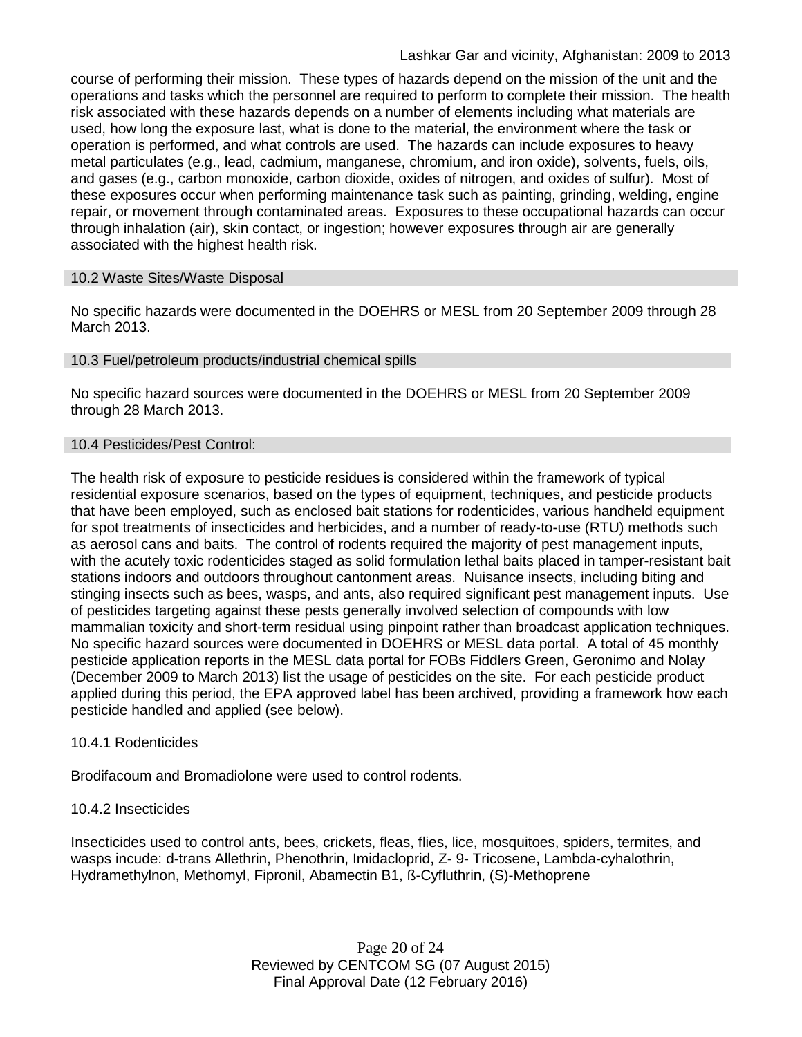course of performing their mission. These types of hazards depend on the mission of the unit and the operations and tasks which the personnel are required to perform to complete their mission. The health risk associated with these hazards depends on a number of elements including what materials are used, how long the exposure last, what is done to the material, the environment where the task or operation is performed, and what controls are used. The hazards can include exposures to heavy metal particulates (e.g., lead, cadmium, manganese, chromium, and iron oxide), solvents, fuels, oils, and gases (e.g., carbon monoxide, carbon dioxide, oxides of nitrogen, and oxides of sulfur). Most of these exposures occur when performing maintenance task such as painting, grinding, welding, engine repair, or movement through contaminated areas. Exposures to these occupational hazards can occur through inhalation (air), skin contact, or ingestion; however exposures through air are generally associated with the highest health risk.

### 10.2 Waste Sites/Waste Disposal

No specific hazards were documented in the DOEHRS or MESL from 20 September 2009 through 28 March 2013.

### 10.3 Fuel/petroleum products/industrial chemical spills

No specific hazard sources were documented in the DOEHRS or MESL from 20 September 2009 through 28 March 2013.

#### 10.4 Pesticides/Pest Control:

The health risk of exposure to pesticide residues is considered within the framework of typical residential exposure scenarios, based on the types of equipment, techniques, and pesticide products that have been employed, such as enclosed bait stations for rodenticides, various handheld equipment for spot treatments of insecticides and herbicides, and a number of ready-to-use (RTU) methods such as aerosol cans and baits. The control of rodents required the majority of pest management inputs, with the acutely toxic rodenticides staged as solid formulation lethal baits placed in tamper-resistant bait stations indoors and outdoors throughout cantonment areas. Nuisance insects, including biting and stinging insects such as bees, wasps, and ants, also required significant pest management inputs. Use of pesticides targeting against these pests generally involved selection of compounds with low mammalian toxicity and short-term residual using pinpoint rather than broadcast application techniques. No specific hazard sources were documented in DOEHRS or MESL data portal. A total of 45 monthly pesticide application reports in the MESL data portal for FOBs Fiddlers Green, Geronimo and Nolay (December 2009 to March 2013) list the usage of pesticides on the site. For each pesticide product applied during this period, the EPA approved label has been archived, providing a framework how each pesticide handled and applied (see below).

### 10.4.1 Rodenticides

Brodifacoum and Bromadiolone were used to control rodents.

### 10.4.2 Insecticides

Insecticides used to control ants, bees, crickets, fleas, flies, lice, mosquitoes, spiders, termites, and wasps incude: d-trans Allethrin, Phenothrin, Imidacloprid, Z- 9- Tricosene, Lambda-cyhalothrin, Hydramethylnon, Methomyl, Fipronil, Abamectin B1, ß-Cyfluthrin, (S)-Methoprene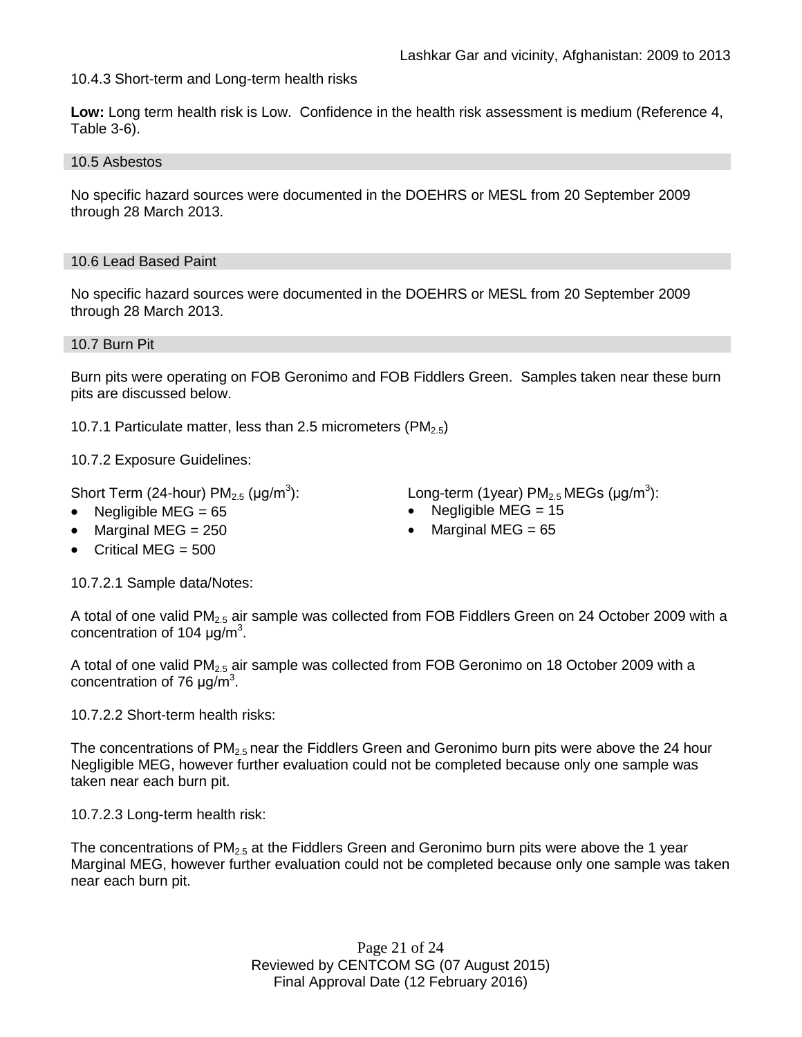10.4.3 Short-term and Long-term health risks

**Low:** Long term health risk is Low. Confidence in the health risk assessment is medium (Reference 4, Table 3-6).

10.5 Asbestos

No specific hazard sources were documented in the DOEHRS or MESL from 20 September 2009 through 28 March 2013.

### 10.6 Lead Based Paint

No specific hazard sources were documented in the DOEHRS or MESL from 20 September 2009 through 28 March 2013.

### 10.7 Burn Pit

Burn pits were operating on FOB Geronimo and FOB Fiddlers Green. Samples taken near these burn pits are discussed below.

10.7.1 Particulate matter, less than 2.5 micrometers (PM<sub>2.5</sub>)

10.7.2 Exposure Guidelines:

Short Term (24-hour)  $PM_{2.5}$  ( $\mu$ g/m<sup>3</sup>):

- 
- 
- Critical MEG  $=$  500

10.7.2.1 Sample data/Notes:

A total of one valid PM<sub>2.5</sub> air sample was collected from FOB Fiddlers Green on 24 October 2009 with a concentration of 104  $\mu$ g/m<sup>3</sup>.

A total of one valid  $PM<sub>2.5</sub>$  air sample was collected from FOB Geronimo on 18 October 2009 with a concentration of 76  $\mu$ g/m<sup>3</sup>.

10.7.2.2 Short-term health risks:

The concentrations of  $PM<sub>2.5</sub>$  near the Fiddlers Green and Geronimo burn pits were above the 24 hour Negligible MEG, however further evaluation could not be completed because only one sample was taken near each burn pit.

10.7.2.3 Long-term health risk:

The concentrations of  $PM_{2.5}$  at the Fiddlers Green and Geronimo burn pits were above the 1 year Marginal MEG, however further evaluation could not be completed because only one sample was taken near each burn pit.

> Page 21 of 24 Reviewed by CENTCOM SG (07 August 2015) Final Approval Date (12 February 2016)

): Long-term (1year)  $PM_{2.5}$  MEGs (µg/m<sup>3</sup>):

- Negligible MEG = 65 Negligible MEG = 15
- Marginal MEG =  $250$  Marginal MEG =  $65$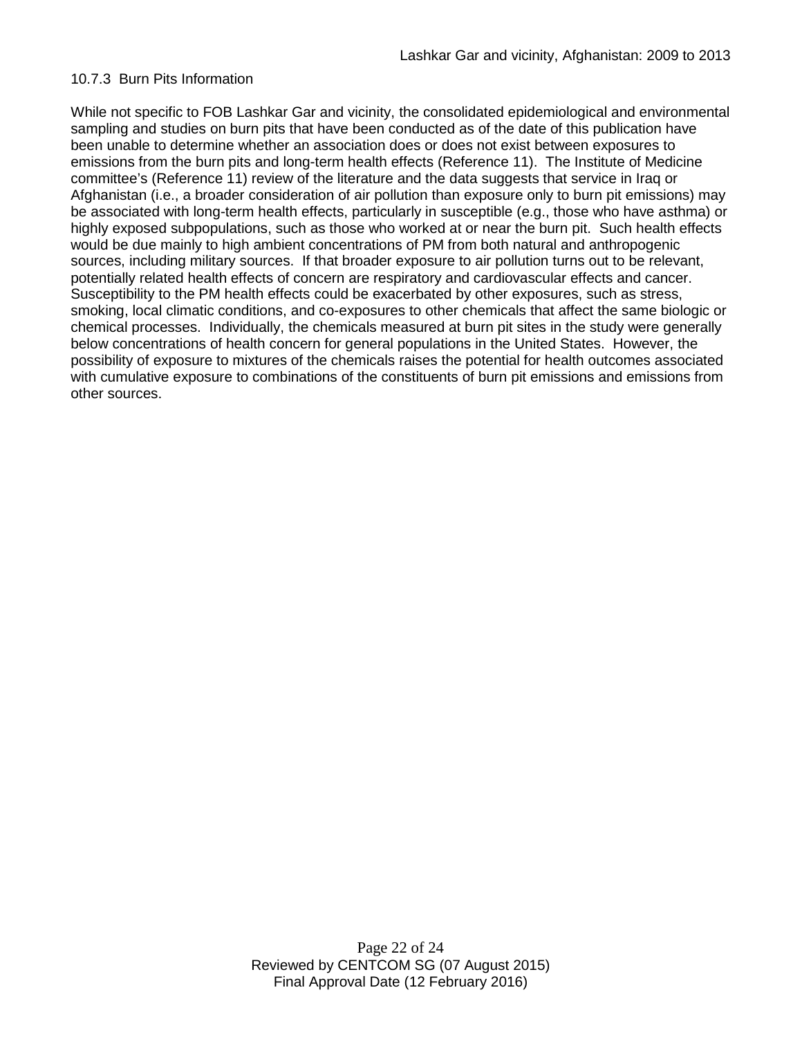#### 10.7.3 Burn Pits Information

While not specific to FOB Lashkar Gar and vicinity, the consolidated epidemiological and environmental sampling and studies on burn pits that have been conducted as of the date of this publication have been unable to determine whether an association does or does not exist between exposures to emissions from the burn pits and long-term health effects (Reference 11). The Institute of Medicine committee's (Reference 11) review of the literature and the data suggests that service in Iraq or Afghanistan (i.e., a broader consideration of air pollution than exposure only to burn pit emissions) may be associated with long-term health effects, particularly in susceptible (e.g., those who have asthma) or highly exposed subpopulations, such as those who worked at or near the burn pit. Such health effects would be due mainly to high ambient concentrations of PM from both natural and anthropogenic sources, including military sources. If that broader exposure to air pollution turns out to be relevant, potentially related health effects of concern are respiratory and cardiovascular effects and cancer. Susceptibility to the PM health effects could be exacerbated by other exposures, such as stress, smoking, local climatic conditions, and co-exposures to other chemicals that affect the same biologic or chemical processes. Individually, the chemicals measured at burn pit sites in the study were generally below concentrations of health concern for general populations in the United States. However, the possibility of exposure to mixtures of the chemicals raises the potential for health outcomes associated with cumulative exposure to combinations of the constituents of burn pit emissions and emissions from other sources.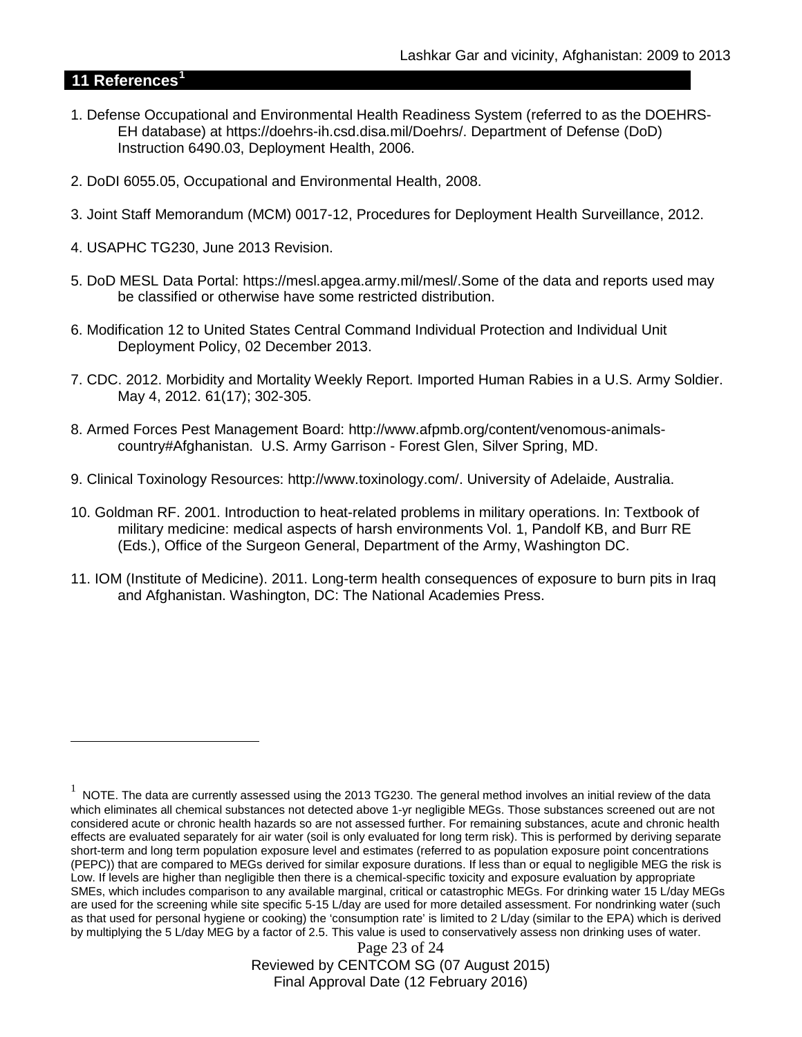### **11 References[1](#page-22-0)**

 $\overline{a}$ 

- 1. Defense Occupational and Environmental Health Readiness System (referred to as the DOEHRS-EH database) at https://doehrs-ih.csd.disa.mil/Doehrs/. Department of Defense (DoD) Instruction 6490.03, Deployment Health, 2006.
- 2. DoDI 6055.05, Occupational and Environmental Health, 2008.
- 3. Joint Staff Memorandum (MCM) 0017-12, Procedures for Deployment Health Surveillance, 2012.
- 4. USAPHC TG230, June 2013 Revision.
- 5. DoD MESL Data Portal: https://mesl.apgea.army.mil/mesl/.Some of the data and reports used may be classified or otherwise have some restricted distribution.
- 6. Modification 12 to United States Central Command Individual Protection and Individual Unit Deployment Policy, 02 December 2013.
- 7. CDC. 2012. Morbidity and Mortality Weekly Report. Imported Human Rabies in a U.S. Army Soldier. May 4, 2012. 61(17); 302-305.
- 8. Armed Forces Pest Management Board: http://www.afpmb.org/content/venomous-animalscountry#Afghanistan. U.S. Army Garrison - Forest Glen, Silver Spring, MD.
- 9. Clinical Toxinology Resources: http://www.toxinology.com/. University of Adelaide, Australia.
- 10. Goldman RF. 2001. Introduction to heat-related problems in military operations. In: Textbook of military medicine: medical aspects of harsh environments Vol. 1, Pandolf KB, and Burr RE (Eds.), Office of the Surgeon General, Department of the Army, Washington DC.
- 11. IOM (Institute of Medicine). 2011. Long-term health consequences of exposure to burn pits in Iraq and Afghanistan. Washington, DC: The National Academies Press.

Page 23 of 24 Reviewed by CENTCOM SG (07 August 2015) Final Approval Date (12 February 2016)

<span id="page-22-0"></span> $1$  NOTE. The data are currently assessed using the 2013 TG230. The general method involves an initial review of the data which eliminates all chemical substances not detected above 1-yr negligible MEGs. Those substances screened out are not considered acute or chronic health hazards so are not assessed further. For remaining substances, acute and chronic health effects are evaluated separately for air water (soil is only evaluated for long term risk). This is performed by deriving separate short-term and long term population exposure level and estimates (referred to as population exposure point concentrations (PEPC)) that are compared to MEGs derived for similar exposure durations. If less than or equal to negligible MEG the risk is Low. If levels are higher than negligible then there is a chemical-specific toxicity and exposure evaluation by appropriate SMEs, which includes comparison to any available marginal, critical or catastrophic MEGs. For drinking water 15 L/day MEGs are used for the screening while site specific 5-15 L/day are used for more detailed assessment. For nondrinking water (such as that used for personal hygiene or cooking) the 'consumption rate' is limited to 2 L/day (similar to the EPA) which is derived by multiplying the 5 L/day MEG by a factor of 2.5. This value is used to conservatively assess non drinking uses of water.